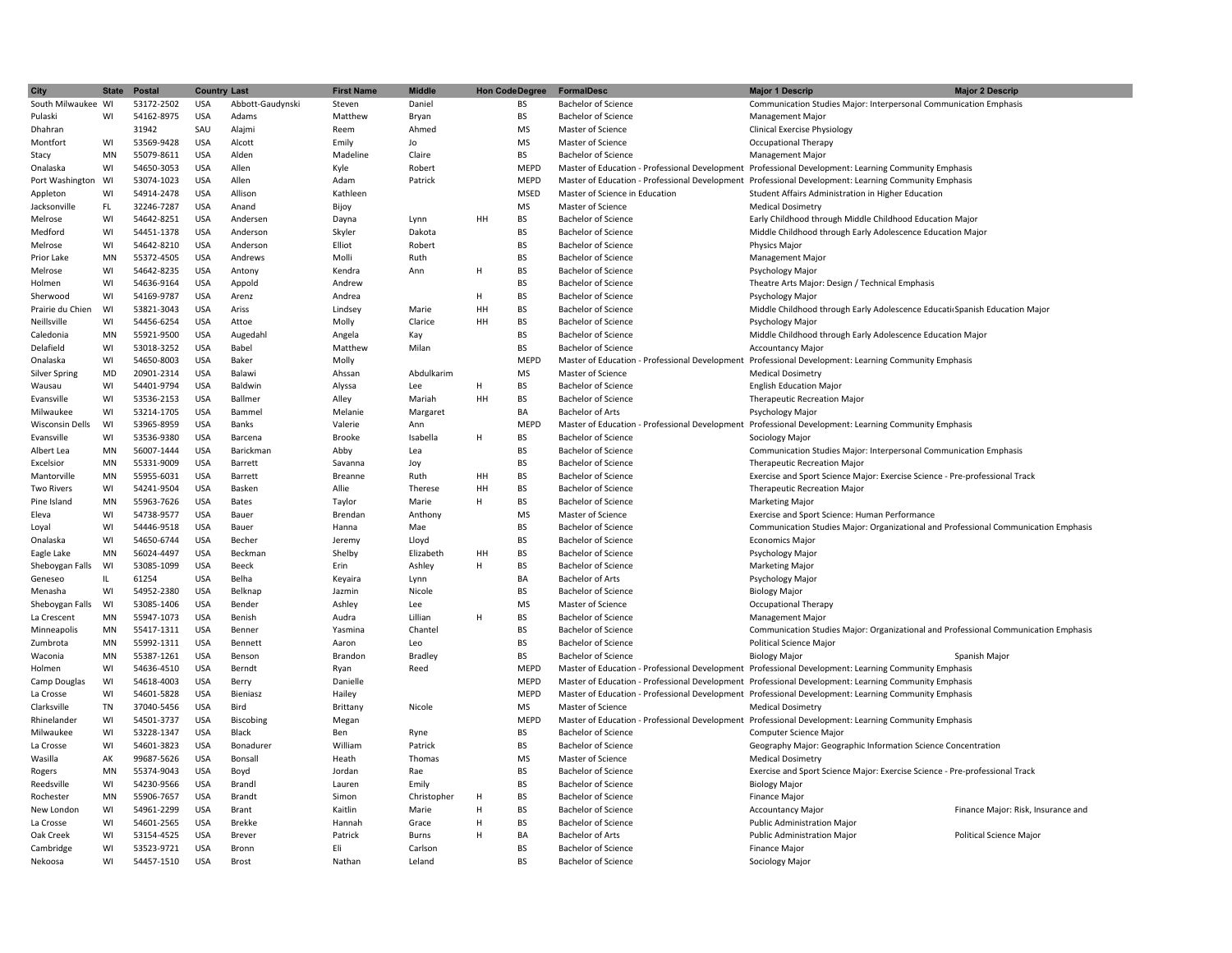| <b>City</b>            | <b>State</b> | Postal     | <b>Country Last</b> |                  | <b>First Name</b> | <b>Middle</b>        | <b>Hon Code Degree</b> |             | <b>FormalDesc</b>                              | <b>Major 1 Descrip</b>                                                                               | <b>Major 2 Descrip</b>             |
|------------------------|--------------|------------|---------------------|------------------|-------------------|----------------------|------------------------|-------------|------------------------------------------------|------------------------------------------------------------------------------------------------------|------------------------------------|
| South Milwaukee WI     |              | 53172-2502 | <b>USA</b>          | Abbott-Gaudynski | Steven            | Daniel               |                        | BS          | <b>Bachelor of Science</b>                     | Communication Studies Major: Interpersonal Communication Emphasis                                    |                                    |
| Pulaski                | WI           | 54162-8975 | <b>USA</b>          | Adams            | Matthew           | Bryan                |                        | <b>BS</b>   | <b>Bachelor of Science</b>                     | <b>Management Major</b>                                                                              |                                    |
| Dhahran                |              | 31942      | SAU                 | Alajmi           | Reem              | Ahmed                |                        | <b>MS</b>   | Master of Science                              | <b>Clinical Exercise Physiology</b>                                                                  |                                    |
| Montfort               | WI           | 53569-9428 | <b>USA</b>          | Alcott           | Emily             | Jo                   |                        | <b>MS</b>   | Master of Science                              | Occupational Therapy                                                                                 |                                    |
| Stacy                  | MN           | 55079-8611 | <b>USA</b>          | Alden            | Madeline          | Claire               |                        | <b>BS</b>   | <b>Bachelor of Science</b>                     | <b>Management Major</b>                                                                              |                                    |
| Onalaska               | WI           | 54650-3053 | <b>USA</b>          | Allen            | Kyle              | Robert               |                        | <b>MEPD</b> |                                                | Master of Education - Professional Development Professional Development: Learning Community Emphasis |                                    |
| Port Washington        | WI           | 53074-1023 | <b>USA</b>          | Allen            | Adam              | Patrick              |                        | <b>MEPD</b> |                                                | Master of Education - Professional Development Professional Development: Learning Community Emphasis |                                    |
| Appleton               | WI           | 54914-2478 | <b>USA</b>          | Allison          | Kathleen          |                      |                        | <b>MSED</b> | Master of Science in Education                 | Student Affairs Administration in Higher Education                                                   |                                    |
| Jacksonville           | FL.          | 32246-7287 | USA                 | Anand            | Bijoy             |                      |                        | MS          | Master of Science                              | <b>Medical Dosimetry</b>                                                                             |                                    |
| Melrose                | WI           | 54642-8251 | <b>USA</b>          | Andersen         | Dayna             | Lynn                 | HH                     | BS          | <b>Bachelor of Science</b>                     | Early Childhood through Middle Childhood Education Major                                             |                                    |
| Medford                | WI           | 54451-1378 | <b>USA</b>          | Anderson         | Skyler            | Dakota               |                        | <b>BS</b>   | <b>Bachelor of Science</b>                     | Middle Childhood through Early Adolescence Education Major                                           |                                    |
| Melrose                | WI           | 54642-8210 | <b>USA</b>          | Anderson         | Elliot            | Robert               |                        | <b>BS</b>   | <b>Bachelor of Science</b>                     | Physics Major                                                                                        |                                    |
| Prior Lake             | MN           | 55372-4505 | <b>USA</b>          | Andrews          | Molli             | Ruth                 |                        | <b>BS</b>   | <b>Bachelor of Science</b>                     | <b>Management Major</b>                                                                              |                                    |
| Melrose                | WI           | 54642-8235 | <b>USA</b>          | Antony           | Kendra            | Ann                  | H                      | <b>BS</b>   | <b>Bachelor of Science</b>                     | <b>Psychology Major</b>                                                                              |                                    |
| Holmen                 | WI           | 54636-9164 | <b>USA</b>          | Appold           | Andrew            |                      |                        | <b>BS</b>   | <b>Bachelor of Science</b>                     | Theatre Arts Major: Design / Technical Emphasis                                                      |                                    |
| Sherwood               | WI           | 54169-9787 | <b>USA</b>          | Arenz            | Andrea            |                      | H                      | <b>BS</b>   | <b>Bachelor of Science</b>                     | Psychology Major                                                                                     |                                    |
| Prairie du Chien       | WI           | 53821-3043 | <b>USA</b>          | Ariss            | Lindsey           | Marie                | HH                     | BS          | <b>Bachelor of Science</b>                     | Middle Childhood through Early Adolescence Educati Spanish Education Major                           |                                    |
| Neillsville            | WI           | 54456-6254 | USA                 | Attoe            | Molly             | Clarice              | HH                     | BS          | <b>Bachelor of Science</b>                     | Psychology Major                                                                                     |                                    |
| Caledonia              | MN           | 55921-9500 | <b>USA</b>          | Augedahl         | Angela            | Kay                  |                        | <b>BS</b>   | <b>Bachelor of Science</b>                     | Middle Childhood through Early Adolescence Education Major                                           |                                    |
|                        | WI           | 53018-3252 | <b>USA</b>          | Babel            | Matthew           | Milan                |                        | <b>BS</b>   | <b>Bachelor of Science</b>                     | <b>Accountancy Major</b>                                                                             |                                    |
| Delafield              | WI           |            |                     | Baker            |                   |                      |                        | <b>MEPD</b> |                                                |                                                                                                      |                                    |
| Onalaska               |              | 54650-8003 | <b>USA</b>          |                  | Molly             |                      |                        |             | Master of Education - Professional Development | Professional Development: Learning Community Emphasis                                                |                                    |
| <b>Silver Spring</b>   | <b>MD</b>    | 20901-2314 | <b>USA</b>          | Balawi           | Ahssan            | Abdulkarim           |                        | <b>MS</b>   | Master of Science                              | <b>Medical Dosimetry</b>                                                                             |                                    |
| Wausau                 | WI           | 54401-9794 | <b>USA</b>          | Baldwin          | Alyssa            | Lee                  | H                      | <b>BS</b>   | <b>Bachelor of Science</b>                     | <b>English Education Major</b>                                                                       |                                    |
| Evansville             | WI           | 53536-2153 | <b>USA</b>          | Ballmer          | Alley             | Mariah               | HH                     | <b>BS</b>   | <b>Bachelor of Science</b>                     | Therapeutic Recreation Major                                                                         |                                    |
| Milwaukee              | WI           | 53214-1705 | <b>USA</b>          | Bammel           | Melanie           | Margaret             |                        | BA          | <b>Bachelor of Arts</b>                        | Psychology Major                                                                                     |                                    |
| <b>Wisconsin Dells</b> | WI           | 53965-8959 | <b>USA</b>          | Banks            | Valerie           | Ann                  |                        | <b>MEPD</b> |                                                | Master of Education - Professional Development Professional Development: Learning Community Emphasis |                                    |
| Evansville             | WI           | 53536-9380 | USA                 | Barcena          | <b>Brooke</b>     | Isabella             | H                      | BS          | <b>Bachelor of Science</b>                     | Sociology Major                                                                                      |                                    |
| Albert Lea             | MN           | 56007-1444 | <b>USA</b>          | Barickman        | Abby              | Lea                  |                        | BS          | <b>Bachelor of Science</b>                     | Communication Studies Major: Interpersonal Communication Emphasis                                    |                                    |
| Excelsior              | MN           | 55331-9009 | <b>USA</b>          | Barrett          | Savanna           | Joy                  |                        | <b>BS</b>   | <b>Bachelor of Science</b>                     | <b>Therapeutic Recreation Major</b>                                                                  |                                    |
| Mantorville            | MN           | 55955-6031 | <b>USA</b>          | Barrett          | Breanne           | Ruth                 | HH                     | <b>BS</b>   | <b>Bachelor of Science</b>                     | Exercise and Sport Science Major: Exercise Science - Pre-professional Track                          |                                    |
| <b>Two Rivers</b>      | WI           | 54241-9504 | <b>USA</b>          | Basken           | Allie             | Therese              | HH                     | <b>BS</b>   | <b>Bachelor of Science</b>                     | <b>Therapeutic Recreation Major</b>                                                                  |                                    |
| Pine Island            | MN           | 55963-7626 | <b>USA</b>          | <b>Bates</b>     | Taylor            | Marie                | н                      | <b>BS</b>   | <b>Bachelor of Science</b>                     | <b>Marketing Major</b>                                                                               |                                    |
| Eleva                  | WI           | 54738-9577 | <b>USA</b>          | Bauer            | Brendan           | Anthony              |                        | <b>MS</b>   | Master of Science                              | Exercise and Sport Science: Human Performance                                                        |                                    |
| Loyal                  | WI           | 54446-9518 | <b>USA</b>          | Bauer            | Hanna             | Mae                  |                        | <b>BS</b>   | <b>Bachelor of Science</b>                     | Communication Studies Major: Organizational and Professional Communication Emphasis                  |                                    |
| Onalaska               | WI           | 54650-6744 | <b>USA</b>          | Becher           | Jeremy            | Lloyd                |                        | BS          | <b>Bachelor of Science</b>                     | <b>Economics Major</b>                                                                               |                                    |
| Eagle Lake             | MN           | 56024-4497 | USA                 | Beckman          | Shelby            | Elizabeth            | HH                     | BS          | <b>Bachelor of Science</b>                     | Psychology Major                                                                                     |                                    |
| Sheboygan Falls        | WI           | 53085-1099 | <b>USA</b>          | Beeck            | Erin              | Ashley               | н                      | BS          | <b>Bachelor of Science</b>                     | <b>Marketing Major</b>                                                                               |                                    |
| Geneseo                | Щ.           | 61254      | <b>USA</b>          | Belha            | Keyaira           | Lynn                 |                        | BA          | <b>Bachelor of Arts</b>                        | Psychology Major                                                                                     |                                    |
| Menasha                | WI           | 54952-2380 | <b>USA</b>          | Belknap          | Jazmin            | Nicole               |                        | <b>BS</b>   | <b>Bachelor of Science</b>                     | <b>Biology Major</b>                                                                                 |                                    |
| Sheboygan Falls        | WI           | 53085-1406 | <b>USA</b>          | Bender           | Ashley            | Lee                  |                        | <b>MS</b>   | Master of Science                              | <b>Occupational Therapy</b>                                                                          |                                    |
| La Crescent            | MN           | 55947-1073 | <b>USA</b>          | Benish           | Audra             | Lillian              | н                      | <b>BS</b>   | <b>Bachelor of Science</b>                     | <b>Management Major</b>                                                                              |                                    |
| Minneapolis            | MN           | 55417-1311 | <b>USA</b>          | Benner           | Yasmina           | Chantel              |                        | <b>BS</b>   | <b>Bachelor of Science</b>                     | Communication Studies Major: Organizational and Professional Communication Emphasis                  |                                    |
| Zumbrota               | MN           | 55992-1311 | <b>USA</b>          | Bennett          | Aaron             | Leo                  |                        | <b>BS</b>   | <b>Bachelor of Science</b>                     | <b>Political Science Major</b>                                                                       |                                    |
| Waconia                | MN           | 55387-1261 | <b>USA</b>          | Benson           | Brandon           | Bradley              |                        | BS          | <b>Bachelor of Science</b>                     | <b>Biology Major</b>                                                                                 | Spanish Major                      |
| Holmen                 | WI           | 54636-4510 | USA                 | Berndt           | Ryan              | Reed                 |                        | <b>MEPD</b> | Master of Education - Professional Development | Professional Development: Learning Community Emphasis                                                |                                    |
| Camp Douglas           | WI           | 54618-4003 | <b>USA</b>          | Berry            | Danielle          |                      |                        | <b>MEPD</b> |                                                | Master of Education - Professional Development Professional Development: Learning Community Emphasis |                                    |
| La Crosse              | WI           | 54601-5828 | <b>USA</b>          | Bieniasz         | Hailey            |                      |                        | <b>MEPD</b> |                                                | Master of Education - Professional Development Professional Development: Learning Community Emphasis |                                    |
| Clarksville            | <b>TN</b>    | 37040-5456 | <b>USA</b>          | Bird             | Brittany          | Nicole               |                        | <b>MS</b>   | Master of Science                              | <b>Medical Dosimetry</b>                                                                             |                                    |
| Rhinelander            | WI           | 54501-3737 | <b>USA</b>          | Biscobing        | Megan             |                      |                        | <b>MEPD</b> |                                                | Master of Education - Professional Development Professional Development: Learning Community Emphasis |                                    |
| Milwaukee              | WI           | 53228-1347 | <b>USA</b>          | Black            | Ben               | Ryne                 |                        | <b>BS</b>   | <b>Bachelor of Science</b>                     | <b>Computer Science Major</b>                                                                        |                                    |
| La Crosse              | WI           | 54601-3823 | <b>USA</b>          | Bonadurer        | William           | Patrick              |                        | <b>BS</b>   | <b>Bachelor of Science</b>                     | Geography Major: Geographic Information Science Concentration                                        |                                    |
| Wasilla                | AK           | 99687-5626 | <b>USA</b>          | Bonsall          | Heath             | Thomas               |                        | <b>MS</b>   | Master of Science                              | <b>Medical Dosimetry</b>                                                                             |                                    |
| Rogers                 | MN           | 55374-9043 | <b>USA</b>          | Boyd             | Jordan            | Rae                  |                        | BS          | <b>Bachelor of Science</b>                     | Exercise and Sport Science Major: Exercise Science - Pre-professional Track                          |                                    |
|                        | WI           | 54230-9566 | <b>USA</b>          | Brandl           |                   |                      |                        | BS          | <b>Bachelor of Science</b>                     |                                                                                                      |                                    |
| Reedsville             | MN           | 55906-7657 | <b>USA</b>          |                  | Lauren            | Emily<br>Christopher |                        | BS          | <b>Bachelor of Science</b>                     | <b>Biology Major</b>                                                                                 |                                    |
| Rochester              | WI           |            | <b>USA</b>          | Brandt           | Simon             | Marie                | H                      | <b>BS</b>   | <b>Bachelor of Science</b>                     | Finance Major                                                                                        |                                    |
| New London             |              | 54961-2299 |                     | Brant            | Kaitlin           |                      | н                      |             |                                                | <b>Accountancy Major</b>                                                                             | Finance Major: Risk, Insurance and |
| La Crosse              | WI           | 54601-2565 | <b>USA</b>          | <b>Brekke</b>    | Hannah            | Grace                | н                      | <b>BS</b>   | <b>Bachelor of Science</b>                     | <b>Public Administration Major</b>                                                                   |                                    |
| Oak Creek              | WI           | 53154-4525 | <b>USA</b>          | Brever           | Patrick           | Burns                | H                      | BA          | <b>Bachelor of Arts</b>                        | <b>Public Administration Major</b>                                                                   | Political Science Major            |
| Cambridge              | WI           | 53523-9721 | <b>USA</b>          | Bronn            | Eli               | Carlson              |                        | BS          | <b>Bachelor of Science</b>                     | <b>Finance Major</b>                                                                                 |                                    |
| Nekoosa                | WI           | 54457-1510 | <b>USA</b>          | Brost            | Nathan            | Leland               |                        | <b>BS</b>   | <b>Bachelor of Science</b>                     | Sociology Major                                                                                      |                                    |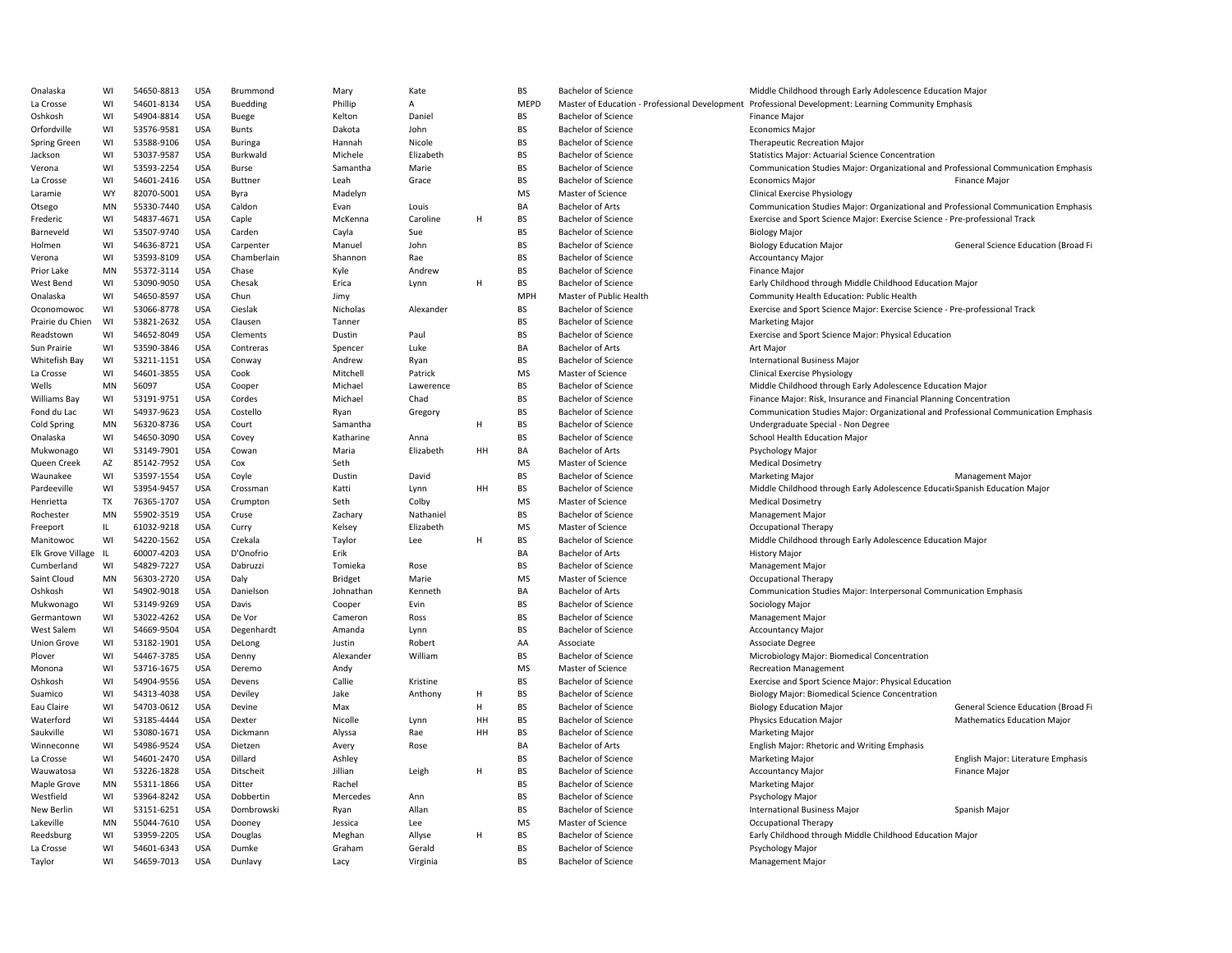| Onalaska           | WI        | 54650-8813 | <b>USA</b> | Brummond       | Mary      | Kate          |    | <b>BS</b>   | <b>Bachelor of Science</b> | Middle Childhood through Early Adolescence Education Major                                           |                                     |
|--------------------|-----------|------------|------------|----------------|-----------|---------------|----|-------------|----------------------------|------------------------------------------------------------------------------------------------------|-------------------------------------|
| La Crosse          | WI        | 54601-8134 | <b>USA</b> | Buedding       | Phillip   | Α             |    | <b>MEPD</b> |                            | Master of Education - Professional Development Professional Development: Learning Community Emphasis |                                     |
| Oshkosh            | WI        | 54904-8814 | <b>USA</b> | Buege          | Kelton    | Daniel        |    | <b>BS</b>   | <b>Bachelor of Science</b> | Finance Major                                                                                        |                                     |
| Orfordville        | WI        | 53576-9581 | <b>USA</b> | <b>Bunts</b>   | Dakota    | John          |    | <b>BS</b>   | <b>Bachelor of Science</b> | <b>Economics Major</b>                                                                               |                                     |
| Spring Green       | WI        | 53588-9106 | <b>USA</b> | <b>Buringa</b> | Hannah    | Nicole        |    | <b>BS</b>   | <b>Bachelor of Science</b> | <b>Therapeutic Recreation Major</b>                                                                  |                                     |
| Jackson            | WI        | 53037-9587 | <b>USA</b> | Burkwald       | Michele   | Elizabeth     |    | <b>BS</b>   | <b>Bachelor of Science</b> | <b>Statistics Major: Actuarial Science Concentration</b>                                             |                                     |
| Verona             | WI        | 53593-2254 | <b>USA</b> | Burse          | Samantha  | Marie         |    | <b>BS</b>   | <b>Bachelor of Science</b> | Communication Studies Major: Organizational and Professional Communication Emphasis                  |                                     |
| La Crosse          | WI        | 54601-2416 | <b>USA</b> | Buttner        | Leah      | Grace         |    | <b>BS</b>   | Bachelor of Science        | <b>Economics Major</b>                                                                               | Finance Major                       |
| Laramie            | <b>WY</b> | 82070-5001 | <b>USA</b> | Byra           | Madelyn   |               |    | <b>MS</b>   | Master of Science          | <b>Clinical Exercise Physiology</b>                                                                  |                                     |
| Otsego             | MN        | 55330-7440 | <b>USA</b> | Caldon         | Evan      | Louis         |    | BA          | <b>Bachelor of Arts</b>    | Communication Studies Major: Organizational and Professional Communication Emphasis                  |                                     |
| Frederic           | WI        | 54837-4671 | <b>USA</b> | Caple          | McKenna   | Caroline      | H  | <b>BS</b>   | <b>Bachelor of Science</b> | Exercise and Sport Science Major: Exercise Science - Pre-professional Track                          |                                     |
| Barneveld          | WI        | 53507-9740 | <b>USA</b> | Carden         | Cayla     | Sue           |    | <b>BS</b>   | <b>Bachelor of Science</b> | <b>Biology Major</b>                                                                                 |                                     |
|                    |           |            |            |                |           |               |    | <b>BS</b>   |                            |                                                                                                      |                                     |
| Holmen             | WI        | 54636-8721 | <b>USA</b> | Carpenter      | Manuel    | John          |    | <b>BS</b>   | <b>Bachelor of Science</b> | <b>Biology Education Major</b>                                                                       | General Science Education (Broad Fi |
| Verona             | WI        | 53593-8109 | <b>USA</b> | Chamberlain    | Shannon   | Rae           |    |             | <b>Bachelor of Science</b> | <b>Accountancy Major</b>                                                                             |                                     |
| Prior Lake         | MN        | 55372-3114 | <b>USA</b> | Chase          | Kyle      | Andrew        |    | <b>BS</b>   | <b>Bachelor of Science</b> | <b>Finance Major</b>                                                                                 |                                     |
| West Bend          | WI        | 53090-9050 | <b>USA</b> | Chesak         | Erica     | Lynn          | H  | <b>BS</b>   | Bachelor of Science        | Early Childhood through Middle Childhood Education Major                                             |                                     |
| Onalaska           | WI        | 54650-8597 | <b>USA</b> | Chun           | Jimy      |               |    | MPH         | Master of Public Health    | Community Health Education: Public Health                                                            |                                     |
| Oconomowoc         | WI        | 53066-8778 | <b>USA</b> | Cieslak        | Nicholas  | Alexander     |    | <b>BS</b>   | <b>Bachelor of Science</b> | Exercise and Sport Science Major: Exercise Science - Pre-professional Track                          |                                     |
| Prairie du Chien   | WI        | 53821-2632 | <b>USA</b> | Clausen        | Tanner    |               |    | <b>BS</b>   | <b>Bachelor of Science</b> | <b>Marketing Major</b>                                                                               |                                     |
| Readstown          | WI        | 54652-8049 | <b>USA</b> | Clements       | Dustin    | Paul          |    | <b>BS</b>   | <b>Bachelor of Science</b> | Exercise and Sport Science Major: Physical Education                                                 |                                     |
| Sun Prairie        | WI        | 53590-3846 | <b>USA</b> | Contreras      | Spencer   | Luke          |    | BA          | <b>Bachelor of Arts</b>    | Art Major                                                                                            |                                     |
| Whitefish Bay      | WI        | 53211-1151 | <b>USA</b> | Conway         | Andrew    | Ryan          |    | <b>BS</b>   | <b>Bachelor of Science</b> | <b>International Business Major</b>                                                                  |                                     |
| La Crosse          | WI        | 54601-3855 | <b>USA</b> | Cook           | Mitchell  | Patrick       |    | <b>MS</b>   | Master of Science          | <b>Clinical Exercise Physiology</b>                                                                  |                                     |
| Wells              | MN        | 56097      | <b>USA</b> | Cooper         | Michael   | Lawerence     |    | <b>BS</b>   | <b>Bachelor of Science</b> | Middle Childhood through Early Adolescence Education Major                                           |                                     |
| Williams Bay       | WI        | 53191-9751 | <b>USA</b> | Cordes         | Michael   | Chad          |    | <b>BS</b>   | <b>Bachelor of Science</b> | Finance Major: Risk, Insurance and Financial Planning Concentration                                  |                                     |
| Fond du Lac        | WI        | 54937-9623 | <b>USA</b> | Costello       | Ryan      | Gregory       |    | <b>BS</b>   | <b>Bachelor of Science</b> | Communication Studies Major: Organizational and Professional Communication Emphasis                  |                                     |
| Cold Spring        | MN        | 56320-8736 | <b>USA</b> | Court          | Samantha  |               | Н  | <b>BS</b>   | <b>Bachelor of Science</b> | Undergraduate Special - Non Degree                                                                   |                                     |
| Onalaska           | WI        | 54650-3090 | <b>USA</b> | Covey          | Katharine | Anna          |    | <b>BS</b>   | Bachelor of Science        | School Health Education Major                                                                        |                                     |
| Mukwonago          | WI        | 53149-7901 | <b>USA</b> | Cowan          | Maria     | Elizabeth     | HH | BA          | <b>Bachelor of Arts</b>    | Psychology Major                                                                                     |                                     |
| Queen Creek        | AZ        | 85142-7952 | <b>USA</b> | Cox            | Seth      |               |    | <b>MS</b>   | Master of Science          | <b>Medical Dosimetry</b>                                                                             |                                     |
| Waunakee           | WI        | 53597-1554 | <b>USA</b> | Coyle          | Dustin    | David         |    | <b>BS</b>   | <b>Bachelor of Science</b> | <b>Marketing Major</b>                                                                               | <b>Management Major</b>             |
| Pardeeville        | WI        | 53954-9457 | <b>USA</b> | Crossman       | Katti     | Lynn          | HH | <b>BS</b>   | <b>Bachelor of Science</b> | Middle Childhood through Early Adolescence Educati Spanish Education Major                           |                                     |
| Henrietta          | TX        | 76365-1707 | <b>USA</b> | Crumpton       | Seth      | Colby         |    | MS          | Master of Science          | <b>Medical Dosimetry</b>                                                                             |                                     |
| Rochester          | MN        | 55902-3519 | USA        | Cruse          | Zachary   | Nathaniel     |    | <b>BS</b>   | <b>Bachelor of Science</b> | <b>Management Major</b>                                                                              |                                     |
| Freeport           | IL.       | 61032-9218 | <b>USA</b> | Curry          | Kelsey    | Elizabeth     |    | <b>MS</b>   | Master of Science          | Occupational Therapy                                                                                 |                                     |
| Manitowoc          | WI        | 54220-1562 | <b>USA</b> | Czekala        | Taylor    | Lee           | н  | <b>BS</b>   | <b>Bachelor of Science</b> | Middle Childhood through Early Adolescence Education Major                                           |                                     |
| Elk Grove Village  | - IL      | 60007-4203 | <b>USA</b> | D'Onofrio      | Erik      |               |    | BA          | <b>Bachelor of Arts</b>    | <b>History Major</b>                                                                                 |                                     |
|                    | WI        | 54829-7227 | <b>USA</b> | Dabruzzi       | Tomieka   |               |    | <b>BS</b>   | <b>Bachelor of Science</b> |                                                                                                      |                                     |
| Cumberland         | MN        |            | <b>USA</b> |                |           | Rose<br>Marie |    | <b>MS</b>   | Master of Science          | Management Major                                                                                     |                                     |
| Saint Cloud        |           | 56303-2720 |            | Daly           | Bridget   |               |    | BA          |                            | <b>Occupational Therapy</b>                                                                          |                                     |
| Oshkosh            | WI        | 54902-9018 | <b>USA</b> | Danielson      | Johnathan | Kenneth       |    |             | <b>Bachelor of Arts</b>    | Communication Studies Major: Interpersonal Communication Emphasis                                    |                                     |
| Mukwonago          | WI        | 53149-9269 | <b>USA</b> | Davis          | Cooper    | Evin          |    | <b>BS</b>   | <b>Bachelor of Science</b> | Sociology Major                                                                                      |                                     |
| Germantown         | WI        | 53022-4262 | <b>USA</b> | De Vor         | Cameron   | Ross          |    | <b>BS</b>   | <b>Bachelor of Science</b> | <b>Management Major</b>                                                                              |                                     |
| West Salem         | WI        | 54669-9504 | <b>USA</b> | Degenhardt     | Amanda    | Lynn          |    | <b>BS</b>   | <b>Bachelor of Science</b> | <b>Accountancy Major</b>                                                                             |                                     |
| <b>Union Grove</b> | WI        | 53182-1901 | USA        | DeLong         | Justin    | Robert        |    | AA          | Associate                  | Associate Degree                                                                                     |                                     |
| Plover             | WI        | 54467-3785 | <b>USA</b> | Denny          | Alexander | William       |    | <b>BS</b>   | <b>Bachelor of Science</b> | Microbiology Major: Biomedical Concentration                                                         |                                     |
| Monona             | WI        | 53716-1675 | <b>USA</b> | Deremo         | Andy      |               |    | <b>MS</b>   | Master of Science          | <b>Recreation Management</b>                                                                         |                                     |
| Oshkosh            | WI        | 54904-9556 | <b>USA</b> | Devens         | Callie    | Kristine      |    | <b>BS</b>   | <b>Bachelor of Science</b> | Exercise and Sport Science Major: Physical Education                                                 |                                     |
| Suamico            | WI        | 54313-4038 | <b>USA</b> | Deviley        | Jake      | Anthony       | Η  | <b>BS</b>   | <b>Bachelor of Science</b> | Biology Major: Biomedical Science Concentration                                                      |                                     |
| Eau Claire         | WI        | 54703-0612 | <b>USA</b> | Devine         | Max       |               | н  | <b>BS</b>   | <b>Bachelor of Science</b> | <b>Biology Education Major</b>                                                                       | General Science Education (Broad Fi |
| Waterford          | WI        | 53185-4444 | <b>USA</b> | Dexter         | Nicolle   | Lynn          | HH | <b>BS</b>   | <b>Bachelor of Science</b> | <b>Physics Education Major</b>                                                                       | <b>Mathematics Education Major</b>  |
| Saukville          | WI        | 53080-1671 | <b>USA</b> | Dickmann       | Alyssa    | Rae           | HH | <b>BS</b>   | <b>Bachelor of Science</b> | <b>Marketing Major</b>                                                                               |                                     |
| Winneconne         | WI        | 54986-9524 | <b>USA</b> | Dietzen        | Avery     | Rose          |    | BA          | <b>Bachelor of Arts</b>    | English Major: Rhetoric and Writing Emphasis                                                         |                                     |
| La Crosse          | WI        | 54601-2470 | <b>USA</b> | Dillard        | Ashley    |               |    | <b>BS</b>   | <b>Bachelor of Science</b> | Marketing Major                                                                                      | English Major: Literature Emphasis  |
| Wauwatosa          | WI        | 53226-1828 | USA        | Ditscheit      | Jillian   | Leigh         | н  | <b>BS</b>   | <b>Bachelor of Science</b> | <b>Accountancy Major</b>                                                                             | Finance Major                       |
| Maple Grove        | MN        | 55311-1866 | <b>USA</b> | Ditter         | Rachel    |               |    | <b>BS</b>   | <b>Bachelor of Science</b> | Marketing Major                                                                                      |                                     |
| Westfield          | WI        | 53964-8242 | <b>USA</b> | Dobbertin      | Mercedes  | Ann           |    | <b>BS</b>   | <b>Bachelor of Science</b> | Psychology Major                                                                                     |                                     |
| New Berlin         | WI        | 53151-6251 | <b>USA</b> | Dombrowski     | Ryan      | Allan         |    | <b>BS</b>   | <b>Bachelor of Science</b> | International Business Major                                                                         | Spanish Major                       |
| Lakeville          | MN        | 55044-7610 | <b>USA</b> | Dooney         | Jessica   | Lee           |    | <b>MS</b>   | Master of Science          | <b>Occupational Therapy</b>                                                                          |                                     |
| Reedsburg          | WI        | 53959-2205 | <b>USA</b> | Douglas        | Meghan    | Allyse        | H  | <b>BS</b>   | <b>Bachelor of Science</b> | Early Childhood through Middle Childhood Education Major                                             |                                     |
| La Crosse          | WI        | 54601-6343 | <b>USA</b> | Dumke          | Graham    | Gerald        |    | <b>BS</b>   | <b>Bachelor of Science</b> | Psychology Major                                                                                     |                                     |
|                    |           |            |            |                |           |               |    |             |                            |                                                                                                      |                                     |
| Taylor             | WI        | 54659-7013 | <b>USA</b> | Dunlavy        | Lacy      | Virginia      |    | <b>BS</b>   | <b>Bachelor of Science</b> | <b>Management Major</b>                                                                              |                                     |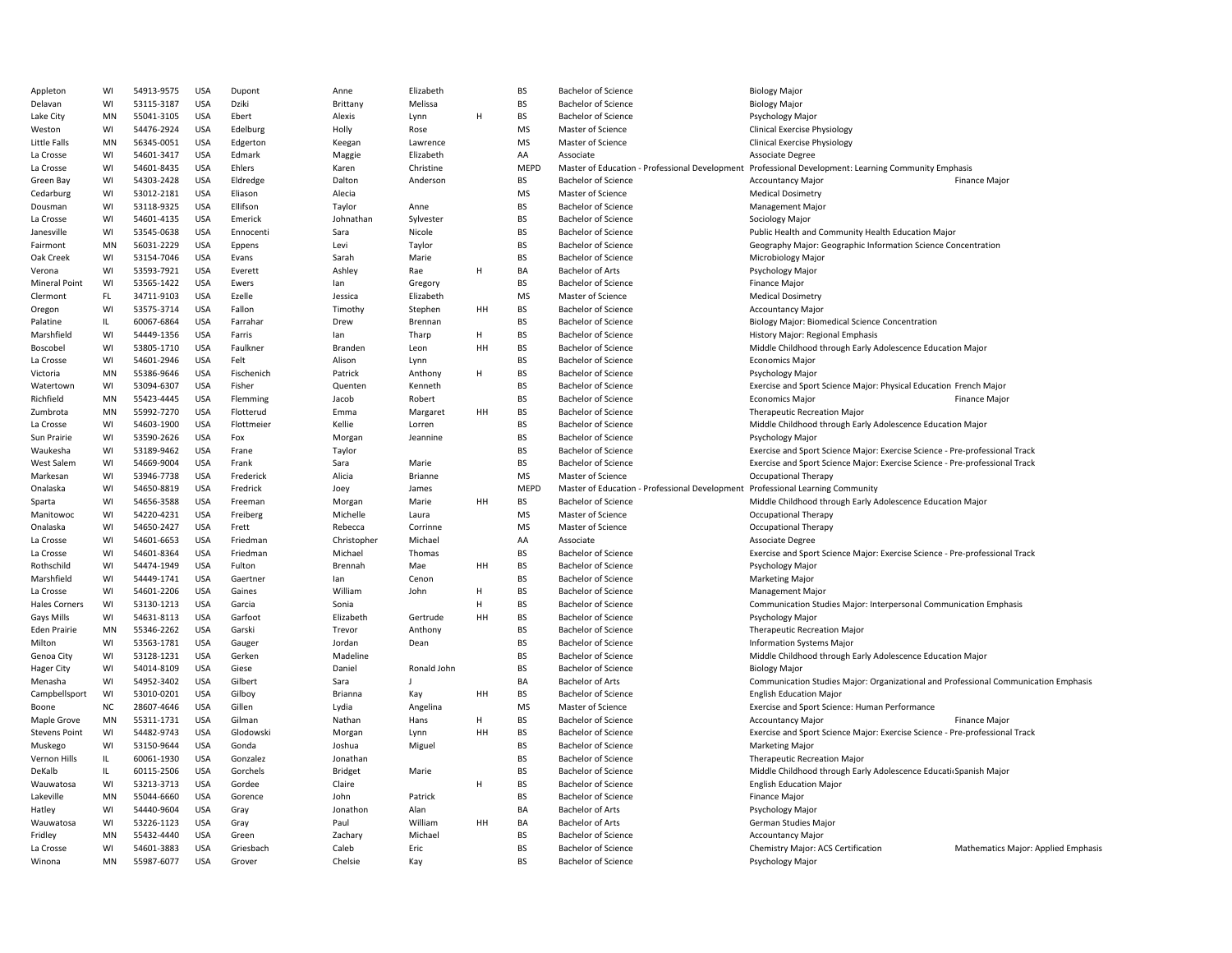| Appleton             | WI        | 54913-9575 | <b>USA</b> | Dupont     | Anne        | Elizabeth   |    | <b>BS</b>   | <b>Bachelor of Science</b>                                                     | <b>Biology Major</b>                                                                |
|----------------------|-----------|------------|------------|------------|-------------|-------------|----|-------------|--------------------------------------------------------------------------------|-------------------------------------------------------------------------------------|
| Delavan              | WI        | 53115-3187 | <b>USA</b> | Dziki      | Brittany    | Melissa     |    | <b>BS</b>   | <b>Bachelor of Science</b>                                                     | <b>Biology Major</b>                                                                |
| Lake City            | MN        | 55041-3105 | <b>USA</b> | Ebert      | Alexis      | Lynn        | H  | <b>BS</b>   | <b>Bachelor of Science</b>                                                     | Psychology Major                                                                    |
| Weston               | WI        | 54476-2924 | <b>USA</b> | Edelburg   | Holly       | Rose        |    | <b>MS</b>   | Master of Science                                                              | <b>Clinical Exercise Physiology</b>                                                 |
| Little Falls         | MN        | 56345-0051 | <b>USA</b> | Edgerton   | Keegan      | Lawrence    |    | MS          | Master of Science                                                              | <b>Clinical Exercise Physiology</b>                                                 |
| La Crosse            | WI        | 54601-3417 | <b>USA</b> | Edmark     | Maggie      | Elizabeth   |    | AA          | Associate                                                                      | Associate Degree                                                                    |
| La Crosse            | WI        | 54601-8435 | <b>USA</b> | Ehlers     | Karen       | Christine   |    | <b>MEPD</b> | Master of Education - Professional Development                                 | Professional Development: Learning Community Emphasis                               |
| Green Bay            | WI        | 54303-2428 | <b>USA</b> | Eldredge   | Dalton      | Anderson    |    | <b>BS</b>   | <b>Bachelor of Science</b>                                                     | <b>Accountancy Major</b><br><b>Finance Major</b>                                    |
| Cedarburg            | WI        | 53012-2181 | <b>USA</b> | Eliason    | Alecia      |             |    | <b>MS</b>   | Master of Science                                                              | <b>Medical Dosimetry</b>                                                            |
| Dousman              | WI        | 53118-9325 | <b>USA</b> | Ellifson   | Taylor      | Anne        |    | <b>BS</b>   | <b>Bachelor of Science</b>                                                     | <b>Management Major</b>                                                             |
| La Crosse            | WI        | 54601-4135 | <b>USA</b> | Emerick    | Johnathan   | Sylvester   |    | <b>BS</b>   | <b>Bachelor of Science</b>                                                     | Sociology Major                                                                     |
|                      |           |            |            |            |             |             |    | <b>BS</b>   |                                                                                |                                                                                     |
| Janesville           | WI        | 53545-0638 | <b>USA</b> | Ennocenti  | Sara        | Nicole      |    |             | <b>Bachelor of Science</b>                                                     | Public Health and Community Health Education Major                                  |
| Fairmont             | MN        | 56031-2229 | <b>USA</b> | Eppens     | Levi        | Taylor      |    | <b>BS</b>   | <b>Bachelor of Science</b>                                                     | Geography Major: Geographic Information Science Concentration                       |
| Oak Creek            | WI        | 53154-7046 | <b>USA</b> | Evans      | Sarah       | Marie       |    | BS          | <b>Bachelor of Science</b>                                                     | Microbiology Major                                                                  |
| Verona               | WI        | 53593-7921 | <b>USA</b> | Everett    | Ashley      | Rae         | H  | BA          | <b>Bachelor of Arts</b>                                                        | Psychology Major                                                                    |
| <b>Mineral Point</b> | WI        | 53565-1422 | <b>USA</b> | Ewers      | lan         | Gregory     |    | <b>BS</b>   | <b>Bachelor of Science</b>                                                     | Finance Major                                                                       |
| Clermont             | FL.       | 34711-9103 | <b>USA</b> | Ezelle     | Jessica     | Elizabeth   |    | <b>MS</b>   | Master of Science                                                              | <b>Medical Dosimetry</b>                                                            |
| Oregon               | WI        | 53575-3714 | <b>USA</b> | Fallon     | Timothy     | Stephen     | HH | <b>BS</b>   | <b>Bachelor of Science</b>                                                     | <b>Accountancy Major</b>                                                            |
| Palatine             | IL.       | 60067-6864 | <b>USA</b> | Farrahar   | Drew        | Brennan     |    | <b>BS</b>   | <b>Bachelor of Science</b>                                                     | <b>Biology Major: Biomedical Science Concentration</b>                              |
| Marshfield           | WI        | 54449-1356 | <b>USA</b> | Farris     | lan         | Tharp       | H  | BS          | Bachelor of Science                                                            | History Major: Regional Emphasis                                                    |
| Boscobel             | WI        | 53805-1710 | <b>USA</b> | Faulkner   | Branden     | Leon        | HH | <b>BS</b>   | <b>Bachelor of Science</b>                                                     | Middle Childhood through Early Adolescence Education Major                          |
| La Crosse            | WI        | 54601-2946 | <b>USA</b> | Felt       | Alison      | Lynn        |    | <b>BS</b>   | <b>Bachelor of Science</b>                                                     | <b>Economics Major</b>                                                              |
| Victoria             | MN        | 55386-9646 | <b>USA</b> | Fischenich | Patrick     | Anthony     | H  | BS          | <b>Bachelor of Science</b>                                                     | Psychology Major                                                                    |
| Watertown            | WI        | 53094-6307 | <b>USA</b> | Fisher     | Quenten     | Kenneth     |    | <b>BS</b>   | <b>Bachelor of Science</b>                                                     | Exercise and Sport Science Major: Physical Education French Major                   |
| Richfield            | MN        | 55423-4445 | <b>USA</b> | Flemming   | Jacob       | Robert      |    | <b>BS</b>   | <b>Bachelor of Science</b>                                                     | <b>Finance Major</b><br><b>Economics Major</b>                                      |
| Zumbrota             | MN        | 55992-7270 | <b>USA</b> | Flotterud  | Emma        | Margaret    | HH | <b>BS</b>   | <b>Bachelor of Science</b>                                                     | Therapeutic Recreation Major                                                        |
| La Crosse            | WI        | 54603-1900 | <b>USA</b> | Flottmeier | Kellie      | Lorren      |    | <b>BS</b>   | <b>Bachelor of Science</b>                                                     | Middle Childhood through Early Adolescence Education Major                          |
|                      | WI        | 53590-2626 | <b>USA</b> |            |             |             |    | <b>BS</b>   | <b>Bachelor of Science</b>                                                     |                                                                                     |
| Sun Prairie          |           |            |            | Fox        | Morgan      | Jeannine    |    |             |                                                                                | <b>Psychology Major</b>                                                             |
| Waukesha             | WI        | 53189-9462 | <b>USA</b> | Frane      | Taylor      |             |    | <b>BS</b>   | Bachelor of Science                                                            | Exercise and Sport Science Major: Exercise Science - Pre-professional Track         |
| <b>West Salem</b>    | WI        | 54669-9004 | <b>USA</b> | Frank      | Sara        | Marie       |    | BS          | <b>Bachelor of Science</b>                                                     | Exercise and Sport Science Major: Exercise Science - Pre-professional Track         |
| Markesan             | WI        | 53946-7738 | <b>USA</b> | Frederick  | Alicia      | Brianne     |    | <b>MS</b>   | Master of Science                                                              | <b>Occupational Therapy</b>                                                         |
| Onalaska             | WI        | 54650-8819 | <b>USA</b> | Fredrick   | Joey        | James       |    | <b>MEPD</b> | Master of Education - Professional Development Professional Learning Community |                                                                                     |
| Sparta               | WI        | 54656-3588 | <b>USA</b> | Freeman    | Morgan      | Marie       | HH | BS          | <b>Bachelor of Science</b>                                                     | Middle Childhood through Early Adolescence Education Major                          |
| Manitowoc            | WI        | 54220-4231 | <b>USA</b> | Freiberg   | Michelle    | Laura       |    | <b>MS</b>   | Master of Science                                                              | <b>Occupational Therapy</b>                                                         |
| Onalaska             | WI        | 54650-2427 | <b>USA</b> | Frett      | Rebecca     | Corrinne    |    | <b>MS</b>   | Master of Science                                                              | Occupational Therapy                                                                |
| La Crosse            | WI        | 54601-6653 | <b>USA</b> | Friedman   | Christopher | Michael     |    | AA          | Associate                                                                      | Associate Degree                                                                    |
| La Crosse            | WI        | 54601-8364 | <b>USA</b> | Friedman   | Michael     | Thomas      |    | <b>BS</b>   | <b>Bachelor of Science</b>                                                     | Exercise and Sport Science Major: Exercise Science - Pre-professional Track         |
| Rothschild           | WI        | 54474-1949 | <b>USA</b> | Fulton     | Brennah     | Mae         | HH | BS          | <b>Bachelor of Science</b>                                                     | Psychology Major                                                                    |
| Marshfield           | WI        | 54449-1741 | <b>USA</b> | Gaertner   | lan         | Cenon       |    | <b>BS</b>   | <b>Bachelor of Science</b>                                                     | <b>Marketing Major</b>                                                              |
| La Crosse            | WI        | 54601-2206 | <b>USA</b> | Gaines     | William     | John        | H  | BS          | <b>Bachelor of Science</b>                                                     | <b>Management Major</b>                                                             |
| <b>Hales Corners</b> | WI        | 53130-1213 | <b>USA</b> | Garcia     | Sonia       |             | H  | <b>BS</b>   | <b>Bachelor of Science</b>                                                     | Communication Studies Major: Interpersonal Communication Emphasis                   |
| Gays Mills           | WI        | 54631-8113 | <b>USA</b> | Garfoot    | Elizabeth   | Gertrude    | HH | <b>BS</b>   | <b>Bachelor of Science</b>                                                     | Psychology Major                                                                    |
| <b>Eden Prairie</b>  | <b>MN</b> | 55346-2262 | <b>USA</b> | Garski     | Trevor      | Anthony     |    | <b>BS</b>   | <b>Bachelor of Science</b>                                                     | <b>Therapeutic Recreation Major</b>                                                 |
| Milton               | WI        | 53563-1781 | <b>USA</b> | Gauger     | Jordan      | Dean        |    | <b>BS</b>   | <b>Bachelor of Science</b>                                                     | <b>Information Systems Major</b>                                                    |
| Genoa City           | WI        | 53128-1231 | <b>USA</b> | Gerken     | Madeline    |             |    | <b>BS</b>   | <b>Bachelor of Science</b>                                                     | Middle Childhood through Early Adolescence Education Major                          |
|                      | WI        | 54014-8109 | <b>USA</b> | Giese      | Daniel      | Ronald John |    | <b>BS</b>   | <b>Bachelor of Science</b>                                                     | <b>Biology Major</b>                                                                |
| <b>Hager City</b>    |           |            |            |            |             |             |    | BA          |                                                                                | Communication Studies Major: Organizational and Professional Communication Emphasis |
| Menasha              | WI        | 54952-3402 | <b>USA</b> | Gilbert    | Sara        |             |    |             | <b>Bachelor of Arts</b>                                                        |                                                                                     |
| Campbellsport        | WI        | 53010-0201 | <b>USA</b> | Gilboy     | Brianna     | Kay         | HH | <b>BS</b>   | <b>Bachelor of Science</b>                                                     | <b>English Education Major</b>                                                      |
| Boone                | <b>NC</b> | 28607-4646 | <b>USA</b> | Gillen     | Lydia       | Angelina    |    | <b>MS</b>   | Master of Science                                                              | Exercise and Sport Science: Human Performance                                       |
| Maple Grove          | MN        | 55311-1731 | <b>USA</b> | Gilman     | Nathan      | Hans        |    | <b>BS</b>   | <b>Bachelor of Science</b>                                                     | Accountancy Major<br>Finance Major                                                  |
| <b>Stevens Point</b> | WI        | 54482-9743 | <b>USA</b> | Glodowski  | Morgan      | Lynn        | HH | <b>BS</b>   | <b>Bachelor of Science</b>                                                     | Exercise and Sport Science Major: Exercise Science - Pre-professional Track         |
| Muskego              | WI        | 53150-9644 | <b>USA</b> | Gonda      | Joshua      | Miguel      |    | <b>BS</b>   | <b>Bachelor of Science</b>                                                     | <b>Marketing Major</b>                                                              |
| Vernon Hills         | IL.       | 60061-1930 | <b>USA</b> | Gonzalez   | Jonathan    |             |    | <b>BS</b>   | <b>Bachelor of Science</b>                                                     | Therapeutic Recreation Major                                                        |
| DeKalb               | IL.       | 60115-2506 | <b>USA</b> | Gorchels   | Bridget     | Marie       |    | <b>BS</b>   | <b>Bachelor of Science</b>                                                     | Middle Childhood through Early Adolescence Educati Spanish Major                    |
| Wauwatosa            | WI        | 53213-3713 | <b>USA</b> | Gordee     | Claire      |             | H  | BS          | Bachelor of Science                                                            | <b>English Education Major</b>                                                      |
| Lakeville            | MN        | 55044-6660 | <b>USA</b> | Gorence    | John        | Patrick     |    | BS          | <b>Bachelor of Science</b>                                                     | Finance Major                                                                       |
| Hatley               | WI        | 54440-9604 | <b>USA</b> | Gray       | Jonathon    | Alan        |    | BA          | <b>Bachelor of Arts</b>                                                        | Psychology Major                                                                    |
| Wauwatosa            | WI        | 53226-1123 | <b>USA</b> | Gray       | Paul        | William     | HH | BA          | <b>Bachelor of Arts</b>                                                        | German Studies Major                                                                |
| Fridley              | <b>MN</b> | 55432-4440 | <b>USA</b> | Green      | Zachary     | Michael     |    | <b>BS</b>   | <b>Bachelor of Science</b>                                                     | <b>Accountancy Major</b>                                                            |
| La Crosse            | WI        | 54601-3883 | <b>USA</b> | Griesbach  | Caleb       | Eric        |    | <b>BS</b>   | <b>Bachelor of Science</b>                                                     | Chemistry Major: ACS Certification<br>Mathematics Major: Applied Emphasis           |
| Winona               | MN        | 55987-6077 | <b>USA</b> | Grover     | Chelsie     | Kay         |    | <b>BS</b>   | <b>Bachelor of Science</b>                                                     | Psychology Major                                                                    |
|                      |           |            |            |            |             |             |    |             |                                                                                |                                                                                     |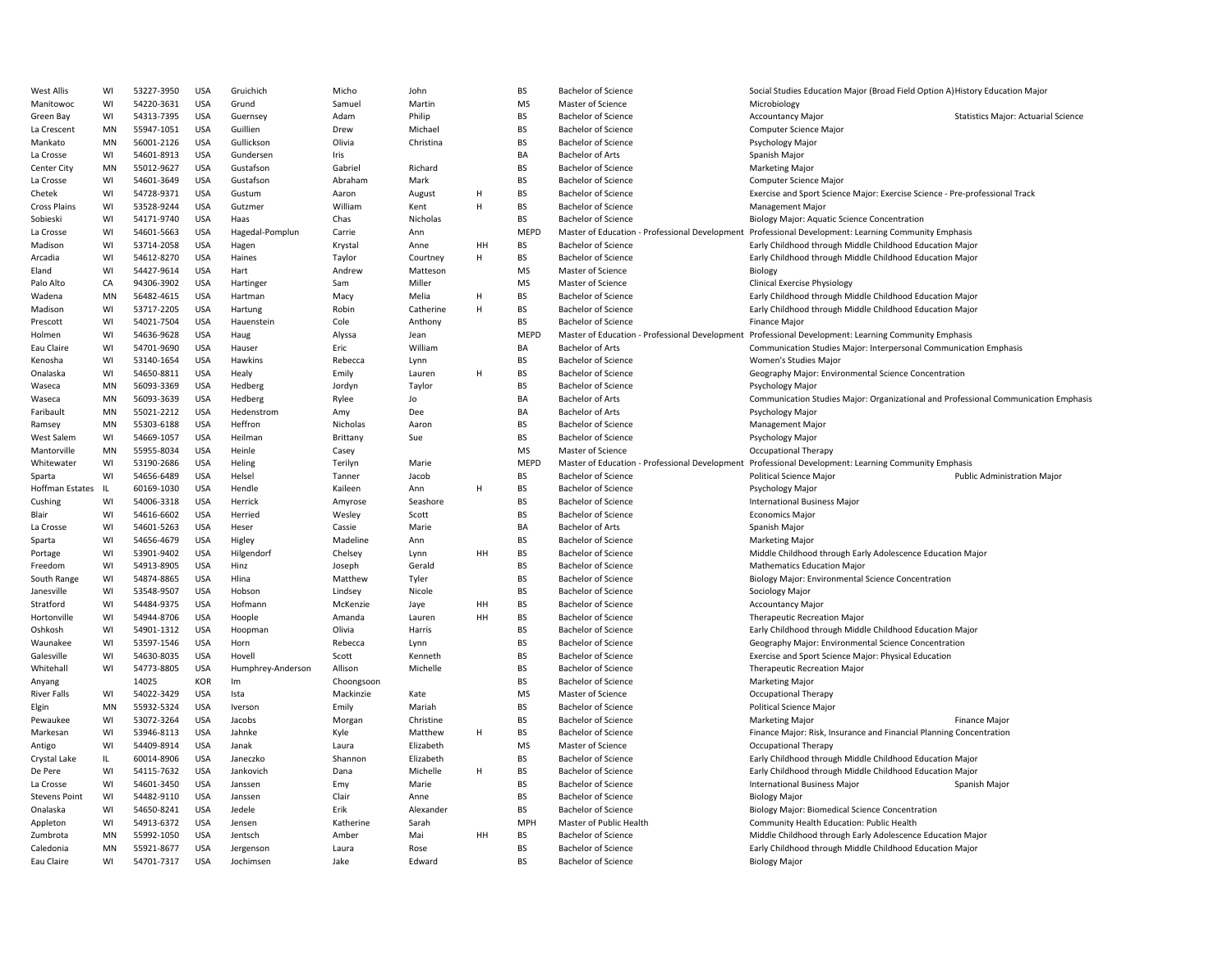| West Allis           | WI   | 53227-3950 | <b>USA</b> | Gruichich         | Micho      | John      |    | <b>BS</b>   | <b>Bachelor of Science</b>                     | Social Studies Education Major (Broad Field Option A) History Education Major       |
|----------------------|------|------------|------------|-------------------|------------|-----------|----|-------------|------------------------------------------------|-------------------------------------------------------------------------------------|
| Manitowoc            | WI   | 54220-3631 | USA        | Grund             | Samuel     | Martin    |    | <b>MS</b>   | Master of Science                              | Microbiology                                                                        |
| Green Bay            | WI   | 54313-7395 | <b>USA</b> | Guernsey          | Adam       | Philip    |    | BS          | <b>Bachelor of Science</b>                     | <b>Accountancy Major</b><br><b>Statistics Major: Actuarial Science</b>              |
| La Crescent          | MN   | 55947-1051 | <b>USA</b> | Guillien          | Drew       | Michael   |    | BS          | <b>Bachelor of Science</b>                     | Computer Science Major                                                              |
| Mankato              | MN   | 56001-2126 | <b>USA</b> | Gullickson        | Olivia     | Christina |    | <b>BS</b>   | <b>Bachelor of Science</b>                     | Psychology Major                                                                    |
| La Crosse            | WI   | 54601-8913 | <b>USA</b> | Gundersen         | Iris       |           |    | BA          | <b>Bachelor of Arts</b>                        | Spanish Major                                                                       |
| Center City          | MN   | 55012-9627 | <b>USA</b> | Gustafson         | Gabriel    | Richard   |    | <b>BS</b>   | <b>Bachelor of Science</b>                     | <b>Marketing Major</b>                                                              |
| La Crosse            | WI   | 54601-3649 | USA        | Gustafson         | Abraham    | Mark      |    | <b>BS</b>   | <b>Bachelor of Science</b>                     | Computer Science Major                                                              |
| Chetek               | WI   | 54728-9371 | <b>USA</b> | Gustum            | Aaron      | August    | H  | BS          | <b>Bachelor of Science</b>                     | Exercise and Sport Science Major: Exercise Science - Pre-professional Track         |
| <b>Cross Plains</b>  | WI   | 53528-9244 | <b>USA</b> | Gutzmer           | William    | Kent      | H  | BS          | <b>Bachelor of Science</b>                     | Management Major                                                                    |
| Sobieski             | WI   | 54171-9740 | USA        | Haas              | Chas       | Nicholas  |    | <b>BS</b>   | <b>Bachelor of Science</b>                     | Biology Major: Aquatic Science Concentration                                        |
| La Crosse            | WI   | 54601-5663 | <b>USA</b> | Hagedal-Pomplun   | Carrie     | Ann       |    | MEPD        | Master of Education - Professional Development | Professional Development: Learning Community Emphasis                               |
| Madison              | WI   | 53714-2058 | USA        | Hagen             | Krystal    | Anne      | HH | BS          | <b>Bachelor of Science</b>                     | Early Childhood through Middle Childhood Education Major                            |
| Arcadia              | WI   | 54612-8270 | <b>USA</b> | Haines            | Taylor     | Courtney  | H  | <b>BS</b>   | <b>Bachelor of Science</b>                     | Early Childhood through Middle Childhood Education Major                            |
| Eland                | WI   | 54427-9614 | <b>USA</b> | Hart              | Andrew     | Matteson  |    | <b>MS</b>   | Master of Science                              | Biology                                                                             |
| Palo Alto            | CA   | 94306-3902 | <b>USA</b> | Hartinger         | Sam        | Miller    |    | <b>MS</b>   | Master of Science                              | <b>Clinical Exercise Physiology</b>                                                 |
| Wadena               | MN   | 56482-4615 | <b>USA</b> | Hartman           | Macy       | Melia     | H  | <b>BS</b>   | <b>Bachelor of Science</b>                     | Early Childhood through Middle Childhood Education Major                            |
| Madison              | WI   | 53717-2205 | USA        | Hartung           | Robin      | Catherine | H  | <b>BS</b>   | <b>Bachelor of Science</b>                     | Early Childhood through Middle Childhood Education Major                            |
| Prescott             | WI   | 54021-7504 | <b>USA</b> | Hauenstein        | Cole       | Anthony   |    | <b>BS</b>   | <b>Bachelor of Science</b>                     | <b>Finance Major</b>                                                                |
| Holmen               | WI   | 54636-9628 | <b>USA</b> | Haug              | Alyssa     | Jean      |    | MEPD        | Master of Education - Professional Development | Professional Development: Learning Community Emphasis                               |
|                      |      | 54701-9690 | <b>USA</b> |                   | Eric       | William   |    | BA          |                                                |                                                                                     |
| Eau Claire           | WI   |            |            | Hauser            |            |           |    |             | <b>Bachelor of Arts</b>                        | Communication Studies Major: Interpersonal Communication Emphasis                   |
| Kenosha              | WI   | 53140-1654 | USA        | Hawkins           | Rebecca    | Lynn      |    | BS          | <b>Bachelor of Science</b>                     | Women's Studies Major                                                               |
| Onalaska             | WI   | 54650-8811 | USA        | Healy             | Emily      | Lauren    | Н  | <b>BS</b>   | <b>Bachelor of Science</b>                     | Geography Major: Environmental Science Concentration                                |
| Waseca               | MN   | 56093-3369 | <b>USA</b> | Hedberg           | Jordyn     | Taylor    |    | BS          | <b>Bachelor of Science</b>                     | Psychology Major                                                                    |
| Waseca               | MN   | 56093-3639 | <b>USA</b> | Hedberg           | Rylee      | Jo        |    | BA          | <b>Bachelor of Arts</b>                        | Communication Studies Major: Organizational and Professional Communication Emphasis |
| Faribault            | MN   | 55021-2212 | <b>USA</b> | Hedenstrom        | Amy        | Dee       |    | BA          | <b>Bachelor of Arts</b>                        | Psychology Major                                                                    |
| Ramsey               | MN   | 55303-6188 | USA        | Heffron           | Nicholas   | Aaron     |    | <b>BS</b>   | <b>Bachelor of Science</b>                     | <b>Management Major</b>                                                             |
| <b>West Salem</b>    | WI   | 54669-1057 | <b>USA</b> | Heilman           | Brittany   | Sue       |    | <b>BS</b>   | <b>Bachelor of Science</b>                     | <b>Psychology Major</b>                                                             |
| Mantorville          | MN   | 55955-8034 | <b>USA</b> | Heinle            | Casey      |           |    | <b>MS</b>   | Master of Science                              | <b>Occupational Therapy</b>                                                         |
| Whitewater           | WI   | 53190-2686 | <b>USA</b> | Heling            | Terilyn    | Marie     |    | <b>MEPD</b> | Master of Education - Professional Development | Professional Development: Learning Community Emphasis                               |
| Sparta               | WI   | 54656-6489 | USA        | Helsel            | Tanner     | Jacob     |    | BS          | <b>Bachelor of Science</b>                     | Political Science Major<br><b>Public Administration Major</b>                       |
| Hoffman Estates      | - IL | 60169-1030 | USA        | Hendle            | Kaileen    | Ann       | Н  | BS          | <b>Bachelor of Science</b>                     | Psychology Major                                                                    |
| Cushing              | WI   | 54006-3318 | <b>USA</b> | Herrick           | Amyrose    | Seashore  |    | <b>BS</b>   | <b>Bachelor of Science</b>                     | <b>International Business Major</b>                                                 |
| Blair                | WI   | 54616-6602 | <b>USA</b> | Herried           | Wesley     | Scott     |    | BS          | <b>Bachelor of Science</b>                     | <b>Economics Major</b>                                                              |
| La Crosse            | WI   | 54601-5263 | USA        | Heser             | Cassie     | Marie     |    | BA          | <b>Bachelor of Arts</b>                        | Spanish Major                                                                       |
| Sparta               | WI   | 54656-4679 | USA        | Higley            | Madeline   | Ann       |    | <b>BS</b>   | <b>Bachelor of Science</b>                     | Marketing Major                                                                     |
| Portage              | WI   | 53901-9402 | <b>USA</b> | Hilgendorf        | Chelsey    | Lynn      | HH | <b>BS</b>   | <b>Bachelor of Science</b>                     | Middle Childhood through Early Adolescence Education Major                          |
| Freedom              | WI   | 54913-8905 | USA        | Hinz              | Joseph     | Gerald    |    | BS          | <b>Bachelor of Science</b>                     | <b>Mathematics Education Major</b>                                                  |
| South Range          | WI   | 54874-8865 | USA        | Hlina             | Matthew    | Tyler     |    | BS          | <b>Bachelor of Science</b>                     | Biology Major: Environmental Science Concentration                                  |
| Janesville           | WI   | 53548-9507 | USA        | Hobson            | Lindsey    | Nicole    |    | <b>BS</b>   | <b>Bachelor of Science</b>                     | Sociology Major                                                                     |
| Stratford            | WI   | 54484-9375 | <b>USA</b> | Hofmann           | McKenzie   | Jaye      | HH | BS          | <b>Bachelor of Science</b>                     | <b>Accountancy Major</b>                                                            |
| Hortonville          | WI   | 54944-8706 | <b>USA</b> | Hoople            | Amanda     | Lauren    | HH | <b>BS</b>   | <b>Bachelor of Science</b>                     | Therapeutic Recreation Major                                                        |
| Oshkosh              | WI   | 54901-1312 | <b>USA</b> | Hoopman           | Olivia     | Harris    |    | BS          | <b>Bachelor of Science</b>                     | Early Childhood through Middle Childhood Education Major                            |
| Waunakee             | WI   | 53597-1546 | USA        | Horn              | Rebecca    | Lynn      |    | <b>BS</b>   | <b>Bachelor of Science</b>                     | Geography Major: Environmental Science Concentration                                |
| Galesville           | WI   | 54630-8035 | <b>USA</b> | Hovell            | Scott      | Kenneth   |    | <b>BS</b>   | <b>Bachelor of Science</b>                     | Exercise and Sport Science Major: Physical Education                                |
| Whitehall            | WI   | 54773-8805 | USA        | Humphrey-Anderson | Allison    | Michelle  |    | BS          | <b>Bachelor of Science</b>                     | <b>Therapeutic Recreation Major</b>                                                 |
| Anyang               |      | 14025      | KOR        | Im                | Choongsoon |           |    | <b>BS</b>   | <b>Bachelor of Science</b>                     | <b>Marketing Major</b>                                                              |
| <b>River Falls</b>   | WI   | 54022-3429 | USA        | Ista              | Mackinzie  | Kate      |    | <b>MS</b>   | Master of Science                              | <b>Occupational Therapy</b>                                                         |
| Elgin                | MN   | 55932-5324 | USA        | Iverson           | Emily      | Mariah    |    | <b>BS</b>   | <b>Bachelor of Science</b>                     | <b>Political Science Major</b>                                                      |
| Pewaukee             | WI   | 53072-3264 | <b>USA</b> | Jacobs            | Morgan     | Christine |    | BS          | <b>Bachelor of Science</b>                     | Marketing Major<br>Finance Major                                                    |
| Markesan             | WI   | 53946-8113 | <b>USA</b> | Jahnke            | Kyle       | Matthew   | H  | BS          | <b>Bachelor of Science</b>                     | Finance Major: Risk, Insurance and Financial Planning Concentration                 |
| Antigo               | WI   | 54409-8914 | <b>USA</b> | Janak             | Laura      | Elizabeth |    | <b>MS</b>   | Master of Science                              | <b>Occupational Therapy</b>                                                         |
| Crystal Lake         | IL.  | 60014-8906 | USA        | Janeczko          | Shannon    | Elizabeth |    | BS          | <b>Bachelor of Science</b>                     | Early Childhood through Middle Childhood Education Major                            |
| De Pere              | WI   | 54115-7632 | <b>USA</b> | Jankovich         | Dana       | Michelle  | H  | <b>BS</b>   | <b>Bachelor of Science</b>                     | Early Childhood through Middle Childhood Education Major                            |
| La Crosse            | WI   | 54601-3450 | <b>USA</b> | Janssen           | Emy        | Marie     |    | <b>BS</b>   | <b>Bachelor of Science</b>                     | <b>International Business Major</b><br>Spanish Major                                |
| <b>Stevens Point</b> | WI   | 54482-9110 | USA        | Janssen           | Clair      | Anne      |    | <b>BS</b>   | <b>Bachelor of Science</b>                     | <b>Biology Major</b>                                                                |
| Onalaska             | WI   | 54650-8241 | USA        | Jedele            | Erik       | Alexander |    | <b>BS</b>   | <b>Bachelor of Science</b>                     | <b>Biology Major: Biomedical Science Concentration</b>                              |
| Appleton             | WI   | 54913-6372 | USA        | Jensen            | Katherine  | Sarah     |    | MPH         | Master of Public Health                        | Community Health Education: Public Health                                           |
| Zumbrota             | MN   | 55992-1050 | <b>USA</b> | Jentsch           | Amber      | Mai       | HH | BS          | <b>Bachelor of Science</b>                     | Middle Childhood through Early Adolescence Education Major                          |
| Caledonia            | MN   | 55921-8677 | <b>USA</b> | Jergenson         | Laura      | Rose      |    | BS          | <b>Bachelor of Science</b>                     | Early Childhood through Middle Childhood Education Major                            |
| Eau Claire           | WI   | 54701-7317 | <b>USA</b> | Jochimsen         | Jake       | Edward    |    | <b>BS</b>   | <b>Bachelor of Science</b>                     | <b>Biology Major</b>                                                                |
|                      |      |            |            |                   |            |           |    |             |                                                |                                                                                     |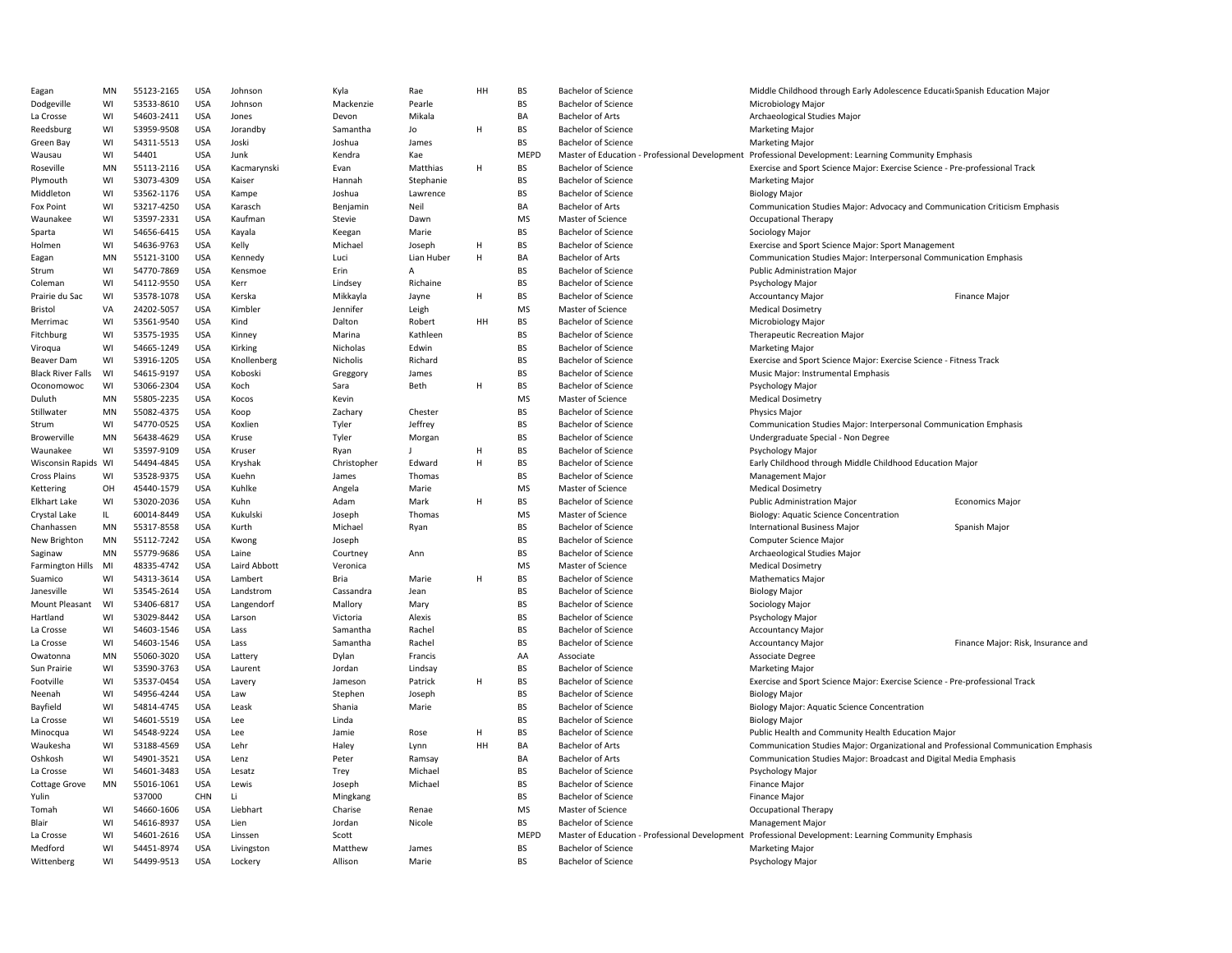| Eagan                    | MN | 55123-2165 | <b>USA</b> | Johnson      | Kyla        | Rae          | HH     | <b>BS</b> | <b>Bachelor of Science</b>                     | Middle Childhood through Early Adolescence Educati Spanish Education Major          |                                    |
|--------------------------|----|------------|------------|--------------|-------------|--------------|--------|-----------|------------------------------------------------|-------------------------------------------------------------------------------------|------------------------------------|
| Dodgeville               | WI | 53533-8610 | <b>USA</b> | Johnson      | Mackenzie   | Pearle       |        | <b>BS</b> | <b>Bachelor of Science</b>                     | Microbiology Major                                                                  |                                    |
| La Crosse                | WI | 54603-2411 | <b>USA</b> | Jones        | Devon       | Mikala       |        | BA        | <b>Bachelor of Arts</b>                        | Archaeological Studies Major                                                        |                                    |
| Reedsburg                | WI | 53959-9508 | <b>USA</b> | Jorandby     | Samantha    | Jo           | H      | <b>BS</b> | <b>Bachelor of Science</b>                     | <b>Marketing Major</b>                                                              |                                    |
| Green Bay                | WI | 54311-5513 | <b>USA</b> | Joski        | Joshua      | James        |        | BS        | Bachelor of Science                            | <b>Marketing Major</b>                                                              |                                    |
| Wausau                   | WI | 54401      | <b>USA</b> | Junk         | Kendra      | Kae          |        | MEPD      | Master of Education - Professional Development | Professional Development: Learning Community Emphasis                               |                                    |
| Roseville                | MN | 55113-2116 | <b>USA</b> | Kacmarynski  | Evan        | Matthias     | H      | BS        | <b>Bachelor of Science</b>                     | Exercise and Sport Science Major: Exercise Science - Pre-professional Track         |                                    |
| Plymouth                 | WI | 53073-4309 | <b>USA</b> | Kaiser       | Hannah      | Stephanie    |        | BS        | <b>Bachelor of Science</b>                     | <b>Marketing Major</b>                                                              |                                    |
| Middleton                | WI | 53562-1176 | <b>USA</b> | Kampe        | Joshua      | Lawrence     |        | <b>BS</b> | <b>Bachelor of Science</b>                     | <b>Biology Major</b>                                                                |                                    |
| Fox Point                | WI | 53217-4250 | <b>USA</b> | Karasch      | Benjamin    | Neil         |        | BA        | <b>Bachelor of Arts</b>                        | Communication Studies Major: Advocacy and Communication Criticism Emphasis          |                                    |
| Waunakee                 | WI | 53597-2331 | <b>USA</b> | Kaufman      | Stevie      | Dawn         |        | <b>MS</b> | Master of Science                              | Occupational Therapy                                                                |                                    |
|                          | WI | 54656-6415 | <b>USA</b> | Kayala       |             | Marie        |        | <b>BS</b> | <b>Bachelor of Science</b>                     | Sociology Major                                                                     |                                    |
| Sparta                   |    |            |            |              | Keegan      |              |        |           |                                                |                                                                                     |                                    |
| Holmen                   | WI | 54636-9763 | <b>USA</b> | Kelly        | Michael     | Joseph       | H<br>H | <b>BS</b> | <b>Bachelor of Science</b>                     | Exercise and Sport Science Major: Sport Management                                  |                                    |
| Eagan                    | MN | 55121-3100 | <b>USA</b> | Kennedy      | Luci        | Lian Huber   |        | BA        | <b>Bachelor of Arts</b>                        | Communication Studies Major: Interpersonal Communication Emphasis                   |                                    |
| Strum                    | WI | 54770-7869 | <b>USA</b> | Kensmoe      | Erin        | A            |        | BS        | <b>Bachelor of Science</b>                     | <b>Public Administration Major</b>                                                  |                                    |
| Coleman                  | WI | 54112-9550 | <b>USA</b> | Kerr         | Lindsey     | Richaine     |        | <b>BS</b> | <b>Bachelor of Science</b>                     | Psychology Major                                                                    |                                    |
| Prairie du Sac           | WI | 53578-1078 | <b>USA</b> | Kerska       | Mikkayla    | Jayne        | H      | BS        | <b>Bachelor of Science</b>                     | <b>Accountancy Major</b>                                                            | Finance Major                      |
| <b>Bristol</b>           | VA | 24202-5057 | <b>USA</b> | Kimbler      | Jennifer    | Leigh        |        | <b>MS</b> | Master of Science                              | <b>Medical Dosimetry</b>                                                            |                                    |
| Merrimac                 | WI | 53561-9540 | <b>USA</b> | Kind         | Dalton      | Robert       | HH     | BS        | <b>Bachelor of Science</b>                     | Microbiology Major                                                                  |                                    |
| Fitchburg                | WI | 53575-1935 | <b>USA</b> | Kinney       | Marina      | Kathleen     |        | <b>BS</b> | <b>Bachelor of Science</b>                     | <b>Therapeutic Recreation Major</b>                                                 |                                    |
| Viroqua                  | WI | 54665-1249 | <b>USA</b> | Kirking      | Nicholas    | Edwin        |        | <b>BS</b> | <b>Bachelor of Science</b>                     | <b>Marketing Major</b>                                                              |                                    |
| Beaver Dam               | WI | 53916-1205 | <b>USA</b> | Knollenberg  | Nicholis    | Richard      |        | <b>BS</b> | <b>Bachelor of Science</b>                     | Exercise and Sport Science Major: Exercise Science - Fitness Track                  |                                    |
| <b>Black River Falls</b> | WI | 54615-9197 | <b>USA</b> | Koboski      | Greggory    | James        |        | <b>BS</b> | <b>Bachelor of Science</b>                     | Music Major: Instrumental Emphasis                                                  |                                    |
| Oconomowoc               | WI | 53066-2304 | <b>USA</b> | Koch         | Sara        | Beth         | H      | BS        | Bachelor of Science                            | Psychology Major                                                                    |                                    |
| Duluth                   | MN | 55805-2235 | <b>USA</b> | Kocos        | Kevin       |              |        | <b>MS</b> | Master of Science                              | <b>Medical Dosimetry</b>                                                            |                                    |
| Stillwater               | MN | 55082-4375 | <b>USA</b> | Koop         | Zachary     | Chester      |        | BS        | Bachelor of Science                            | <b>Physics Major</b>                                                                |                                    |
| Strum                    | WI | 54770-0525 | <b>USA</b> | Koxlien      | Tyler       | Jeffrey      |        | BS        | <b>Bachelor of Science</b>                     | Communication Studies Major: Interpersonal Communication Emphasis                   |                                    |
| Browerville              | MN | 56438-4629 | <b>USA</b> | Kruse        | Tyler       | Morgan       |        | BS        | Bachelor of Science                            | Undergraduate Special - Non Degree                                                  |                                    |
| Waunakee                 | WI | 53597-9109 | <b>USA</b> | Kruser       | Ryan        | $\mathbf{I}$ | H      | <b>BS</b> | <b>Bachelor of Science</b>                     | Psychology Major                                                                    |                                    |
| Wisconsin Rapids WI      |    | 54494-4845 | <b>USA</b> | Kryshak      | Christopher | Edward       | H      | <b>BS</b> | <b>Bachelor of Science</b>                     | Early Childhood through Middle Childhood Education Major                            |                                    |
| <b>Cross Plains</b>      | WI | 53528-9375 | <b>USA</b> | Kuehn        | James       | Thomas       |        | <b>BS</b> | <b>Bachelor of Science</b>                     | <b>Management Major</b>                                                             |                                    |
| Kettering                | OH | 45440-1579 | <b>USA</b> | Kuhlke       | Angela      | Marie        |        | MS        | Master of Science                              | <b>Medical Dosimetry</b>                                                            |                                    |
| <b>Elkhart Lake</b>      | WI | 53020-2036 | <b>USA</b> | Kuhn         | Adam        | Mark         | H      | BS        | <b>Bachelor of Science</b>                     | <b>Public Administration Major</b>                                                  | <b>Economics Major</b>             |
| Crystal Lake             | IL | 60014-8449 | <b>USA</b> | Kukulski     | Joseph      | Thomas       |        | MS        | Master of Science                              | Biology: Aquatic Science Concentration                                              |                                    |
| Chanhassen               | MN | 55317-8558 | <b>USA</b> | Kurth        | Michael     | Ryan         |        | BS        | <b>Bachelor of Science</b>                     | <b>International Business Major</b>                                                 | Spanish Major                      |
| New Brighton             | MN | 55112-7242 | <b>USA</b> | Kwong        | Joseph      |              |        | BS        | <b>Bachelor of Science</b>                     | Computer Science Major                                                              |                                    |
| Saginaw                  | MN | 55779-9686 | <b>USA</b> | Laine        | Courtney    |              |        | <b>BS</b> | <b>Bachelor of Science</b>                     | Archaeological Studies Major                                                        |                                    |
| Farmington Hills         | MI | 48335-4742 | <b>USA</b> | Laird Abbott | Veronica    | Ann          |        | <b>MS</b> | Master of Science                              | <b>Medical Dosimetry</b>                                                            |                                    |
|                          | WI |            |            |              |             |              | H      | <b>BS</b> |                                                |                                                                                     |                                    |
| Suamico                  |    | 54313-3614 | <b>USA</b> | Lambert      | Bria        | Marie        |        |           | <b>Bachelor of Science</b>                     | <b>Mathematics Major</b>                                                            |                                    |
| Janesville               | WI | 53545-2614 | <b>USA</b> | Landstrom    | Cassandra   | Jean         |        | <b>BS</b> | <b>Bachelor of Science</b>                     | <b>Biology Major</b>                                                                |                                    |
| Mount Pleasant           | WI | 53406-6817 | <b>USA</b> | Langendorf   | Mallory     | Mary         |        | <b>BS</b> | <b>Bachelor of Science</b>                     | Sociology Major                                                                     |                                    |
| Hartland                 | WI | 53029-8442 | <b>USA</b> | Larson       | Victoria    | Alexis       |        | BS        | <b>Bachelor of Science</b>                     | Psychology Major                                                                    |                                    |
| La Crosse                | WI | 54603-1546 | <b>USA</b> | Lass         | Samantha    | Rachel       |        | <b>BS</b> | <b>Bachelor of Science</b>                     | <b>Accountancy Major</b>                                                            |                                    |
| La Crosse                | WI | 54603-1546 | <b>USA</b> | Lass         | Samantha    | Rachel       |        | <b>BS</b> | <b>Bachelor of Science</b>                     | <b>Accountancy Major</b>                                                            | Finance Major: Risk, Insurance and |
| Owatonna                 | MN | 55060-3020 | <b>USA</b> | Lattery      | Dylan       | Francis      |        | AA        | Associate                                      | <b>Associate Degree</b>                                                             |                                    |
| Sun Prairie              | WI | 53590-3763 | <b>USA</b> | Laurent      | Jordan      | Lindsay      |        | BS        | <b>Bachelor of Science</b>                     | <b>Marketing Major</b>                                                              |                                    |
| Footville                | WI | 53537-0454 | <b>USA</b> | Lavery       | Jameson     | Patrick      | H      | BS        | <b>Bachelor of Science</b>                     | Exercise and Sport Science Major: Exercise Science - Pre-professional Track         |                                    |
| Neenah                   | WI | 54956-4244 | <b>USA</b> | Law          | Stephen     | Joseph       |        | <b>BS</b> | <b>Bachelor of Science</b>                     | <b>Biology Major</b>                                                                |                                    |
| Bayfield                 | WI | 54814-4745 | <b>USA</b> | Leask        | Shania      | Marie        |        | <b>BS</b> | <b>Bachelor of Science</b>                     | Biology Major: Aquatic Science Concentration                                        |                                    |
| La Crosse                | WI | 54601-5519 | <b>USA</b> | Lee          | Linda       |              |        | <b>BS</b> | <b>Bachelor of Science</b>                     | <b>Biology Major</b>                                                                |                                    |
| Minocqua                 | WI | 54548-9224 | <b>USA</b> | Lee          | Jamie       | Rose         | H      | <b>BS</b> | <b>Bachelor of Science</b>                     | Public Health and Community Health Education Major                                  |                                    |
| Waukesha                 | WI | 53188-4569 | <b>USA</b> | Lehr         | Haley       | Lynn         | HH     | BA        | Bachelor of Arts                               | Communication Studies Major: Organizational and Professional Communication Emphasis |                                    |
| Oshkosh                  | WI | 54901-3521 | <b>USA</b> | Lenz         | Peter       | Ramsay       |        | BA        | <b>Bachelor of Arts</b>                        | Communication Studies Major: Broadcast and Digital Media Emphasis                   |                                    |
| La Crosse                | WI | 54601-3483 | <b>USA</b> | Lesatz       | Trey        | Michael      |        | BS        | <b>Bachelor of Science</b>                     | Psychology Major                                                                    |                                    |
| <b>Cottage Grove</b>     | MN | 55016-1061 | <b>USA</b> | Lewis        | Joseph      | Michael      |        | BS        | <b>Bachelor of Science</b>                     | Finance Major                                                                       |                                    |
| Yulin                    |    | 537000     | CHN        | Li           | Mingkang    |              |        | BS        | <b>Bachelor of Science</b>                     | Finance Major                                                                       |                                    |
| Tomah                    | WI | 54660-1606 | <b>USA</b> | Liebhart     | Charise     | Renae        |        | <b>MS</b> | Master of Science                              | <b>Occupational Therapy</b>                                                         |                                    |
| Blair                    | WI | 54616-8937 | <b>USA</b> | Lien         | Jordan      | Nicole       |        | <b>BS</b> | <b>Bachelor of Science</b>                     | <b>Management Major</b>                                                             |                                    |
| La Crosse                | WI | 54601-2616 | <b>USA</b> | Linssen      | Scott       |              |        | MEPD      | Master of Education - Professional Development | Professional Development: Learning Community Emphasis                               |                                    |
| Medford                  | WI | 54451-8974 | <b>USA</b> | Livingston   | Matthew     | James        |        | <b>BS</b> | <b>Bachelor of Science</b>                     | <b>Marketing Major</b>                                                              |                                    |
|                          | WI |            | <b>USA</b> |              | Allison     | Marie        |        | <b>BS</b> |                                                |                                                                                     |                                    |
| Wittenberg               |    | 54499-9513 |            | Lockery      |             |              |        |           | Bachelor of Science                            | Psychology Major                                                                    |                                    |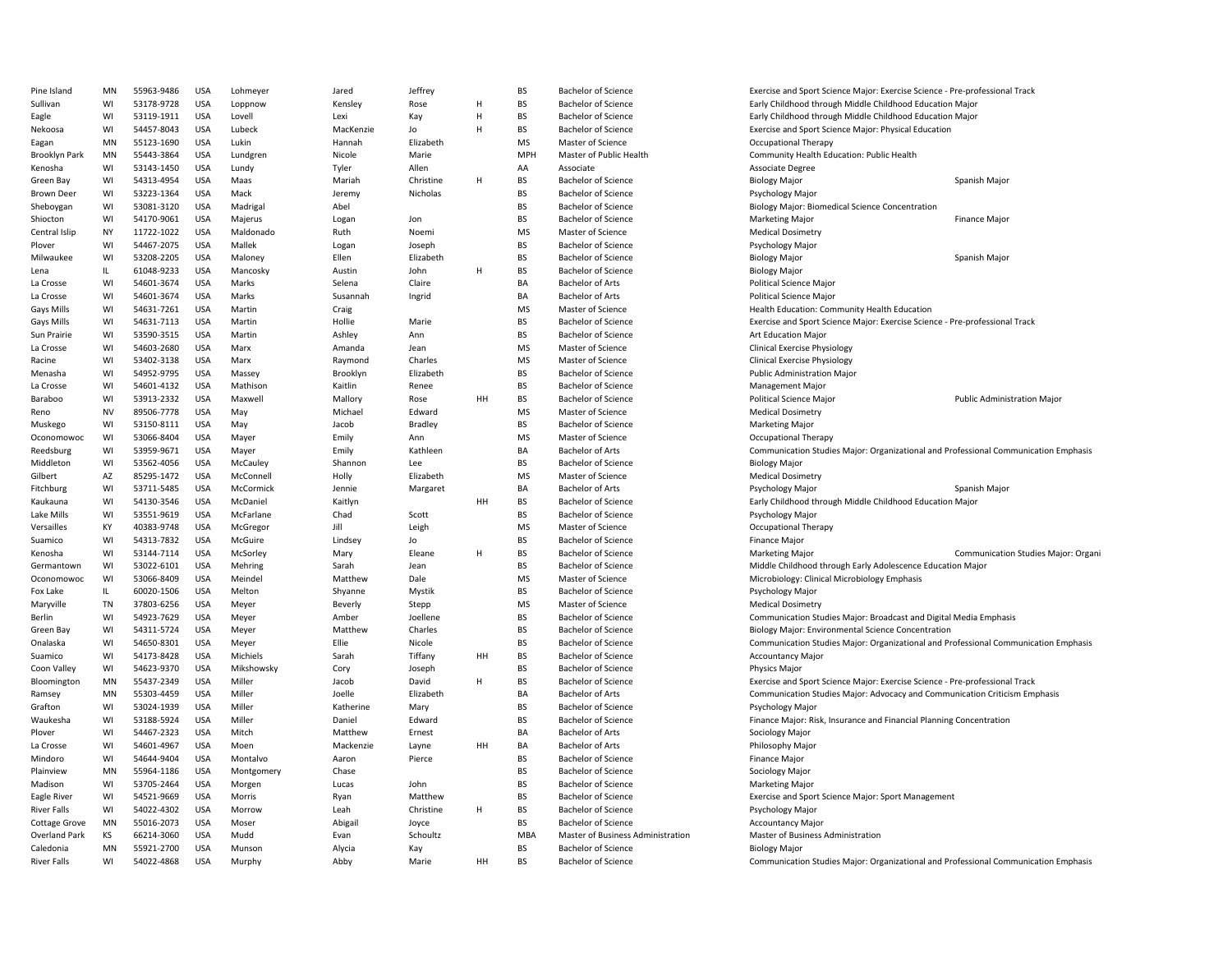| Pine Island          | MN        | 55963-9486 | <b>USA</b> | Lohmeyer           | Jared     | Jeffrey   |    | <b>BS</b>  | <b>Bachelor of Science</b>        | Exercise and Sport Science Major: Exercise Science - Pre-professional Track         |                                     |
|----------------------|-----------|------------|------------|--------------------|-----------|-----------|----|------------|-----------------------------------|-------------------------------------------------------------------------------------|-------------------------------------|
| Sullivan             | WI        | 53178-9728 | <b>USA</b> | Loppnow            | Kensley   | Rose      | H  | BS         | <b>Bachelor of Science</b>        | Early Childhood through Middle Childhood Education Major                            |                                     |
| Eagle                | WI        | 53119-1911 | USA        | Lovell             | Lexi      | Kay       | H  | <b>BS</b>  | <b>Bachelor of Science</b>        | Early Childhood through Middle Childhood Education Major                            |                                     |
| Nekoosa              | WI        | 54457-8043 | <b>USA</b> | Lubeck             | MacKenzie | Jo        | H  | BS         | <b>Bachelor of Science</b>        | Exercise and Sport Science Major: Physical Education                                |                                     |
| Eagan                | MN        | 55123-1690 | <b>USA</b> | Lukin              | Hannah    | Elizabeth |    | <b>MS</b>  | Master of Science                 | <b>Occupational Therapy</b>                                                         |                                     |
| Brooklyn Park        | MN        | 55443-3864 | <b>USA</b> | Lundgren           | Nicole    | Marie     |    | <b>MPH</b> | Master of Public Health           | Community Health Education: Public Health                                           |                                     |
| Kenosha              | WI        | 53143-1450 | <b>USA</b> | Lundy              | Tyler     | Allen     |    | AA         | Associate                         | Associate Degree                                                                    |                                     |
| Green Bay            | WI        | 54313-4954 | <b>USA</b> | Maas               | Mariah    | Christine | H  | <b>BS</b>  | <b>Bachelor of Science</b>        | <b>Biology Major</b>                                                                | Spanish Major                       |
| <b>Brown Deer</b>    | WI        | 53223-1364 | <b>USA</b> | Mack               | Jeremy    | Nicholas  |    | <b>BS</b>  | <b>Bachelor of Science</b>        | Psychology Major                                                                    |                                     |
| Sheboygan            | WI        | 53081-3120 | <b>USA</b> | Madrigal           | Abel      |           |    | <b>BS</b>  | <b>Bachelor of Science</b>        | Biology Major: Biomedical Science Concentration                                     |                                     |
| Shiocton             | WI        | 54170-9061 | <b>USA</b> | Majerus            | Logan     | Jon       |    | <b>BS</b>  | <b>Bachelor of Science</b>        | <b>Marketing Major</b>                                                              | <b>Finance Major</b>                |
| Central Islip        | <b>NY</b> | 11722-1022 | <b>USA</b> | Maldonado          | Ruth      | Noemi     |    | <b>MS</b>  | Master of Science                 | <b>Medical Dosimetry</b>                                                            |                                     |
| Plover               | WI        | 54467-2075 | <b>USA</b> | Mallek             | Logan     | Joseph    |    | <b>BS</b>  | <b>Bachelor of Science</b>        | Psychology Major                                                                    |                                     |
| Milwaukee            | WI        | 53208-2205 | <b>USA</b> | Maloney            | Ellen     | Elizabeth |    | <b>BS</b>  | <b>Bachelor of Science</b>        | <b>Biology Major</b>                                                                | Spanish Major                       |
| Lena                 | IL.       | 61048-9233 | <b>USA</b> | Mancosky           | Austin    | John      | H  | BS         | <b>Bachelor of Science</b>        | <b>Biology Major</b>                                                                |                                     |
| La Crosse            | WI        | 54601-3674 | USA        | Marks              | Selena    | Claire    |    | BA         | <b>Bachelor of Arts</b>           | Political Science Major                                                             |                                     |
| La Crosse            | WI        | 54601-3674 | <b>USA</b> | Marks              | Susannah  | Ingrid    |    | BA         | <b>Bachelor of Arts</b>           | Political Science Major                                                             |                                     |
| <b>Gays Mills</b>    | WI        | 54631-7261 | <b>USA</b> | Martin             | Craig     |           |    | MS         | Master of Science                 | Health Education: Community Health Education                                        |                                     |
| <b>Gays Mills</b>    | WI        | 54631-7113 | <b>USA</b> | Martin             | Hollie    | Marie     |    | BS         | <b>Bachelor of Science</b>        | Exercise and Sport Science Major: Exercise Science - Pre-professional Track         |                                     |
| Sun Prairie          | WI        | 53590-3515 | <b>USA</b> | Martin             | Ashley    | Ann       |    | <b>BS</b>  | <b>Bachelor of Science</b>        | Art Education Major                                                                 |                                     |
| La Crosse            | WI        | 54603-2680 | <b>USA</b> | Marx               | Amanda    | Jean      |    | <b>MS</b>  | Master of Science                 | <b>Clinical Exercise Physiology</b>                                                 |                                     |
|                      | WI        | 53402-3138 | <b>USA</b> | Marx               | Raymond   | Charles   |    | <b>MS</b>  | Master of Science                 | <b>Clinical Exercise Physiology</b>                                                 |                                     |
| Racine               | WI        | 54952-9795 | <b>USA</b> |                    |           | Elizabeth |    | <b>BS</b>  | <b>Bachelor of Science</b>        | <b>Public Administration Major</b>                                                  |                                     |
| Menasha              | WI        |            | <b>USA</b> | Massey<br>Mathison | Brooklyn  |           |    | <b>BS</b>  | <b>Bachelor of Science</b>        |                                                                                     |                                     |
| La Crosse            |           | 54601-4132 |            |                    | Kaitlin   | Renee     |    |            |                                   | Management Major                                                                    |                                     |
| Baraboo              | WI        | 53913-2332 | <b>USA</b> | Maxwell            | Mallory   | Rose      | HH | <b>BS</b>  | <b>Bachelor of Science</b>        | <b>Political Science Major</b>                                                      | <b>Public Administration Major</b>  |
| Reno                 | <b>NV</b> | 89506-7778 | <b>USA</b> | May                | Michael   | Edward    |    | <b>MS</b>  | Master of Science                 | <b>Medical Dosimetry</b>                                                            |                                     |
| Muskego              | WI        | 53150-8111 | <b>USA</b> | May                | Jacob     | Bradley   |    | <b>BS</b>  | <b>Bachelor of Science</b>        | <b>Marketing Major</b>                                                              |                                     |
| Oconomowoc           | WI        | 53066-8404 | USA        | Mayer              | Emily     | Ann       |    | MS         | Master of Science                 | <b>Occupational Therapy</b>                                                         |                                     |
| Reedsburg            | WI        | 53959-9671 | <b>USA</b> | Mayer              | Emily     | Kathleen  |    | BA         | <b>Bachelor of Arts</b>           | Communication Studies Major: Organizational and Professional Communication Emphasis |                                     |
| Middleton            | WI        | 53562-4056 | <b>USA</b> | McCauley           | Shannon   | Lee       |    | BS         | <b>Bachelor of Science</b>        | <b>Biology Major</b>                                                                |                                     |
| Gilbert              | AZ        | 85295-1472 | <b>USA</b> | McConnell          | Holly     | Elizabeth |    | <b>MS</b>  | Master of Science                 | <b>Medical Dosimetry</b>                                                            |                                     |
| Fitchburg            | WI        | 53711-5485 | <b>USA</b> | McCormick          | Jennie    | Margaret  |    | BA         | <b>Bachelor of Arts</b>           | Psychology Major                                                                    | Spanish Major                       |
| Kaukauna             | WI        | 54130-3546 | <b>USA</b> | McDaniel           | Kaitlyn   |           | HH | <b>BS</b>  | <b>Bachelor of Science</b>        | Early Childhood through Middle Childhood Education Major                            |                                     |
| Lake Mills           | WI        | 53551-9619 | <b>USA</b> | McFarlane          | Chad      | Scott     |    | <b>BS</b>  | <b>Bachelor of Science</b>        | Psychology Major                                                                    |                                     |
| Versailles           | KY        | 40383-9748 | <b>USA</b> | McGregor           | Jill      | Leigh     |    | <b>MS</b>  | Master of Science                 | <b>Occupational Therapy</b>                                                         |                                     |
| Suamico              | WI        | 54313-7832 | <b>USA</b> | McGuire            | Lindsey   | Jo        |    | <b>BS</b>  | <b>Bachelor of Science</b>        | <b>Finance Major</b>                                                                |                                     |
| Kenosha              | WI        | 53144-7114 | <b>USA</b> | McSorley           | Mary      | Eleane    | H  | BS         | <b>Bachelor of Science</b>        | <b>Marketing Major</b>                                                              | Communication Studies Major: Organi |
| Germantown           | WI        | 53022-6101 | <b>USA</b> | Mehring            | Sarah     | Jean      |    | BS         | <b>Bachelor of Science</b>        | Middle Childhood through Early Adolescence Education Major                          |                                     |
| Oconomowoc           | WI        | 53066-8409 | <b>USA</b> | Meindel            | Matthew   | Dale      |    | MS         | Master of Science                 | Microbiology: Clinical Microbiology Emphasis                                        |                                     |
| Fox Lake             | IL        | 60020-1506 | <b>USA</b> | Melton             | Shyanne   | Mystik    |    | <b>BS</b>  | <b>Bachelor of Science</b>        | Psychology Major                                                                    |                                     |
| Maryville            | <b>TN</b> | 37803-6256 | <b>USA</b> | Meyer              | Beverly   | Stepp     |    | <b>MS</b>  | Master of Science                 | <b>Medical Dosimetry</b>                                                            |                                     |
| Berlin               | WI        | 54923-7629 | USA        | Meyer              | Amber     | Joellene  |    | <b>BS</b>  | <b>Bachelor of Science</b>        | Communication Studies Major: Broadcast and Digital Media Emphasis                   |                                     |
| Green Bay            | WI        | 54311-5724 | <b>USA</b> | Meyer              | Matthew   | Charles   |    | <b>BS</b>  | <b>Bachelor of Science</b>        | Biology Major: Environmental Science Concentration                                  |                                     |
| Onalaska             | WI        | 54650-8301 | <b>USA</b> | Meyer              | Ellie     | Nicole    |    | <b>BS</b>  | <b>Bachelor of Science</b>        | Communication Studies Major: Organizational and Professional Communication Emphasis |                                     |
| Suamico              | WI        | 54173-8428 | <b>USA</b> | Michiels           | Sarah     | Tiffany   | HH | <b>BS</b>  | <b>Bachelor of Science</b>        | <b>Accountancy Major</b>                                                            |                                     |
| Coon Valley          | WI        | 54623-9370 | <b>USA</b> | Mikshowsky         | Cory      | Joseph    |    | <b>BS</b>  | <b>Bachelor of Science</b>        | Physics Major                                                                       |                                     |
| Bloomington          | MN        | 55437-2349 | <b>USA</b> | Miller             | Jacob     | David     | H  | <b>BS</b>  | <b>Bachelor of Science</b>        | Exercise and Sport Science Major: Exercise Science - Pre-professional Track         |                                     |
| Ramsey               | MN        | 55303-4459 | <b>USA</b> | Miller             | Joelle    | Elizabeth |    | BA         | <b>Bachelor of Arts</b>           | Communication Studies Major: Advocacy and Communication Criticism Emphasis          |                                     |
| Grafton              | WI        | 53024-1939 | <b>USA</b> | Miller             | Katherine | Mary      |    | <b>BS</b>  | <b>Bachelor of Science</b>        | Psychology Major                                                                    |                                     |
| Waukesha             | WI        | 53188-5924 | <b>USA</b> | Miller             | Daniel    | Edward    |    | <b>BS</b>  | <b>Bachelor of Science</b>        | Finance Major: Risk, Insurance and Financial Planning Concentration                 |                                     |
| Plover               | WI        | 54467-2323 | <b>USA</b> | Mitch              | Matthew   | Ernest    |    | <b>BA</b>  | <b>Bachelor of Arts</b>           | Sociology Major                                                                     |                                     |
| La Crosse            | WI        | 54601-4967 | <b>USA</b> | Moen               | Mackenzie | Layne     | HH | BA         | <b>Bachelor of Arts</b>           | Philosophy Major                                                                    |                                     |
| Mindoro              | WI        | 54644-9404 | USA        | Montalvo           | Aaron     | Pierce    |    | <b>BS</b>  | <b>Bachelor of Science</b>        | <b>Finance Major</b>                                                                |                                     |
| Plainview            | MN        | 55964-1186 | <b>USA</b> | Montgomery         | Chase     |           |    | BS         | <b>Bachelor of Science</b>        | Sociology Major                                                                     |                                     |
| Madison              | WI        | 53705-2464 | USA        | Morgen             | Lucas     | John      |    | <b>BS</b>  | <b>Bachelor of Science</b>        | <b>Marketing Major</b>                                                              |                                     |
| Eagle River          | WI        | 54521-9669 | <b>USA</b> | Morris             | Ryan      | Matthew   |    | BS         | <b>Bachelor of Science</b>        | Exercise and Sport Science Major: Sport Management                                  |                                     |
| <b>River Falls</b>   | WI        | 54022-4302 | <b>USA</b> | Morrow             | Leah      | Christine | Н  | BS         | <b>Bachelor of Science</b>        | Psychology Major                                                                    |                                     |
| <b>Cottage Grove</b> | MN        | 55016-2073 | <b>USA</b> | Moser              | Abigai    | Joyce     |    | <b>BS</b>  | <b>Bachelor of Science</b>        | <b>Accountancy Major</b>                                                            |                                     |
| <b>Overland Park</b> | KS        | 66214-3060 | <b>USA</b> | Mudd               | Evan      | Schoultz  |    | <b>MBA</b> | Master of Business Administration | Master of Business Administration                                                   |                                     |
| Caledonia            | MN        | 55921-2700 | <b>USA</b> | Munson             | Alycia    | Kay       |    | <b>BS</b>  | <b>Bachelor of Science</b>        | <b>Biology Major</b>                                                                |                                     |
| <b>River Falls</b>   | WI        | 54022-4868 | <b>USA</b> | Murphy             | Abby      | Marie     | HH | <b>BS</b>  | <b>Bachelor of Science</b>        | Communication Studies Major: Organizational and Professional Communication Emphasis |                                     |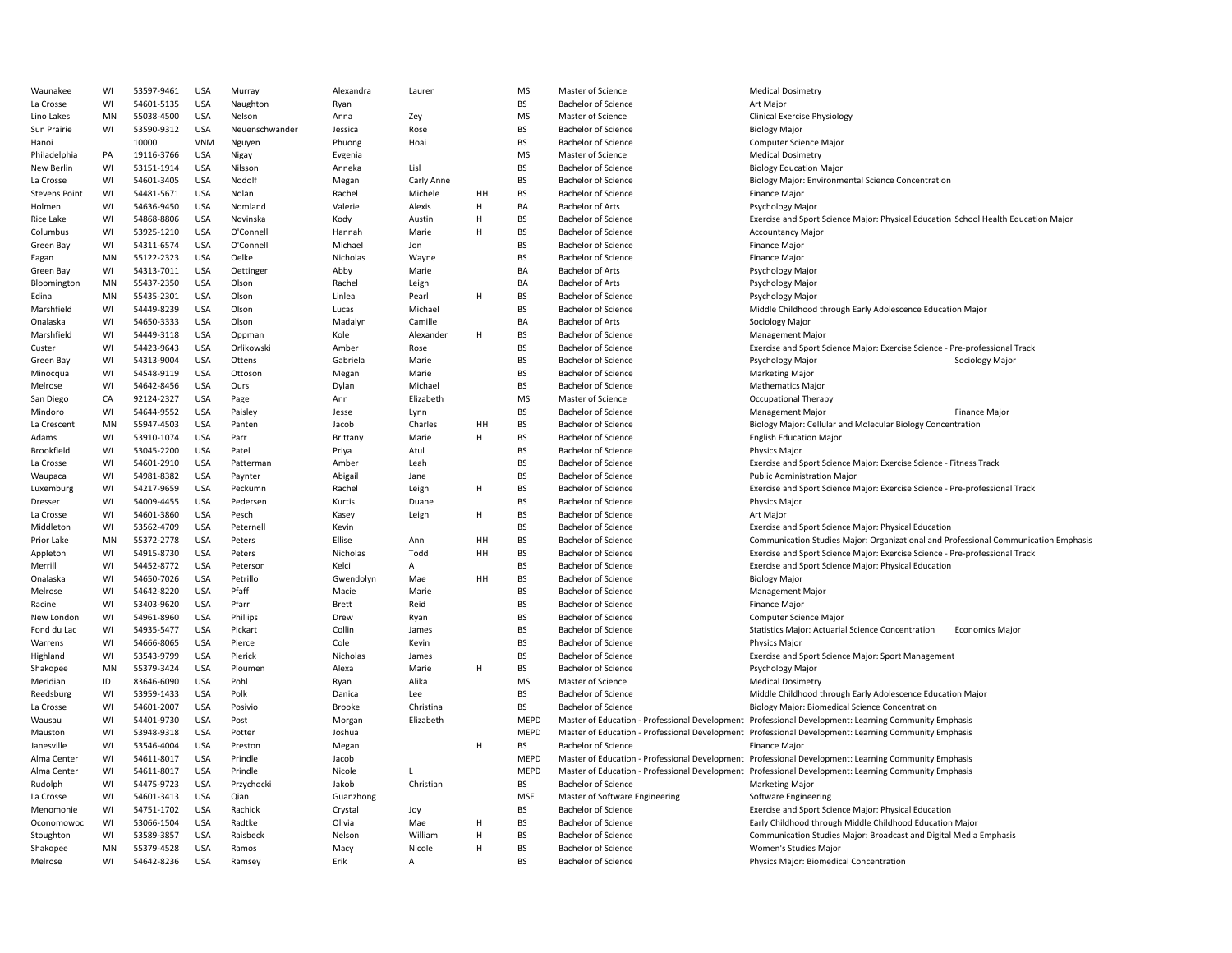| Waunakee             | WI | 53597-9461 | <b>USA</b> | Murray         | Alexandra        | Lauren       |    | <b>MS</b>   | Master of Science              | <b>Medical Dosimetry</b>                                                                             |
|----------------------|----|------------|------------|----------------|------------------|--------------|----|-------------|--------------------------------|------------------------------------------------------------------------------------------------------|
| La Crosse            | WI | 54601-5135 | <b>USA</b> | Naughton       | Ryan             |              |    | BS          | <b>Bachelor of Science</b>     | Art Major                                                                                            |
| Lino Lakes           | MN | 55038-4500 | <b>USA</b> | Nelson         | Anna             | Zey          |    | MS          | Master of Science              | <b>Clinical Exercise Physiology</b>                                                                  |
| Sun Prairie          | WI | 53590-9312 | <b>USA</b> | Neuenschwander | Jessica          | Rose         |    | BS          | <b>Bachelor of Science</b>     | <b>Biology Major</b>                                                                                 |
| Hanoi                |    | 10000      | <b>VNM</b> | Nguyen         | Phuong           | Hoai         |    | <b>BS</b>   | <b>Bachelor of Science</b>     | Computer Science Major                                                                               |
| Philadelphia         | PA | 19116-3766 | <b>USA</b> | Nigay          | Evgenia          |              |    | <b>MS</b>   | Master of Science              | <b>Medical Dosimetry</b>                                                                             |
| New Berlin           | WI | 53151-1914 | <b>USA</b> | Nilsson        | Anneka           | Lisl         |    | BS          | <b>Bachelor of Science</b>     | <b>Biology Education Major</b>                                                                       |
| La Crosse            | WI | 54601-3405 | <b>USA</b> | Nodolf         | Megan            | Carly Anne   |    | <b>BS</b>   | <b>Bachelor of Science</b>     | Biology Major: Environmental Science Concentration                                                   |
| <b>Stevens Point</b> | WI | 54481-5671 | <b>USA</b> | Nolan          | Rachel           | Michele      | HH | <b>BS</b>   | <b>Bachelor of Science</b>     | <b>Finance Major</b>                                                                                 |
| Holmen               | WI | 54636-9450 | <b>USA</b> | Nomland        | Valerie          | Alexis       | H  | BA          | <b>Bachelor of Arts</b>        | <b>Psychology Major</b>                                                                              |
| Rice Lake            | WI | 54868-8806 | <b>USA</b> | Novinska       | Kody             | Austin       | H  | BS          | Bachelor of Science            | Exercise and Sport Science Major: Physical Education School Health Education Major                   |
| Columbus             | WI | 53925-1210 | <b>USA</b> | O'Connell      | Hannah           | Marie        | H  | <b>BS</b>   | <b>Bachelor of Science</b>     | <b>Accountancy Major</b>                                                                             |
| Green Bay            | WI | 54311-6574 | <b>USA</b> | O'Connell      | Michael          | Jon          |    | BS          | <b>Bachelor of Science</b>     | Finance Major                                                                                        |
| Eagan                | MN | 55122-2323 | <b>USA</b> | Oelke          | Nicholas         | Wayne        |    | BS          | <b>Bachelor of Science</b>     | Finance Major                                                                                        |
| Green Bay            | WI | 54313-7011 | <b>USA</b> | Oettinger      | Abby             | Marie        |    | BA          | Bachelor of Arts               | Psychology Major                                                                                     |
|                      | MN | 55437-2350 | <b>USA</b> |                |                  |              |    | BA          | <b>Bachelor of Arts</b>        |                                                                                                      |
| Bloomington          | MN | 55435-2301 | <b>USA</b> | Olson<br>Olson | Rachel<br>Linlea | Leigh        | H  | <b>BS</b>   | <b>Bachelor of Science</b>     | Psychology Major                                                                                     |
| Edina                |    |            |            |                |                  | Pearl        |    |             |                                | Psychology Major                                                                                     |
| Marshfield           | WI | 54449-8239 | <b>USA</b> | Olson          | Lucas            | Michael      |    | <b>BS</b>   | <b>Bachelor of Science</b>     | Middle Childhood through Early Adolescence Education Major                                           |
| Onalaska             | WI | 54650-3333 | <b>USA</b> | Olson          | Madalyn          | Camille      |    | BA          | <b>Bachelor of Arts</b>        | Sociology Major                                                                                      |
| Marshfield           | WI | 54449-3118 | <b>USA</b> | Oppman         | Kole             | Alexander    | H  | BS          | Bachelor of Science            | <b>Management Major</b>                                                                              |
| Custer               | WI | 54423-9643 | <b>USA</b> | Orlikowski     | Amber            | Rose         |    | <b>BS</b>   | <b>Bachelor of Science</b>     | Exercise and Sport Science Major: Exercise Science - Pre-professional Track                          |
| Green Bay            | WI | 54313-9004 | <b>USA</b> | Ottens         | Gabriela         | Marie        |    | <b>BS</b>   | <b>Bachelor of Science</b>     | Psychology Major<br>Sociology Major                                                                  |
| Minocqua             | WI | 54548-9119 | <b>USA</b> | Ottoson        | Megan            | Marie        |    | BS          | <b>Bachelor of Science</b>     | <b>Marketing Major</b>                                                                               |
| Melrose              | WI | 54642-8456 | <b>USA</b> | Ours           | Dylan            | Michael      |    | <b>BS</b>   | <b>Bachelor of Science</b>     | <b>Mathematics Major</b>                                                                             |
| San Diego            | CA | 92124-2327 | <b>USA</b> | Page           | Ann              | Elizabeth    |    | <b>MS</b>   | Master of Science              | <b>Occupational Therapy</b>                                                                          |
| Mindoro              | WI | 54644-9552 | <b>USA</b> | Paisley        | Jesse            | Lynn         |    | BS          | <b>Bachelor of Science</b>     | <b>Management Major</b><br><b>Finance Major</b>                                                      |
| La Crescent          | MN | 55947-4503 | <b>USA</b> | Panten         | Jacob            | Charles      | HH | <b>BS</b>   | <b>Bachelor of Science</b>     | Biology Major: Cellular and Molecular Biology Concentration                                          |
| Adams                | WI | 53910-1074 | <b>USA</b> | Parr           | Brittany         | Marie        | H  | <b>BS</b>   | <b>Bachelor of Science</b>     | <b>English Education Major</b>                                                                       |
| Brookfield           | WI | 53045-2200 | <b>USA</b> | Patel          | Priya            | Atul         |    | <b>BS</b>   | <b>Bachelor of Science</b>     | <b>Physics Major</b>                                                                                 |
| La Crosse            | WI | 54601-2910 | <b>USA</b> | Patterman      | Amber            | Leah         |    | BS          | Bachelor of Science            | Exercise and Sport Science Major: Exercise Science - Fitness Track                                   |
| Waupaca              | WI | 54981-8382 | USA        | Paynter        | Abigail          | Jane         |    | <b>BS</b>   | <b>Bachelor of Science</b>     | <b>Public Administration Major</b>                                                                   |
| Luxemburg            | WI | 54217-9659 | <b>USA</b> | Peckumn        | Rachel           | Leigh        | Н  | BS          | <b>Bachelor of Science</b>     | Exercise and Sport Science Major: Exercise Science - Pre-professional Track                          |
| Dresser              | WI | 54009-4455 | <b>USA</b> | Pedersen       | Kurtis           | Duane        |    | BS          | <b>Bachelor of Science</b>     | <b>Physics Major</b>                                                                                 |
| La Crosse            | WI | 54601-3860 | <b>USA</b> | Pesch          | Kasey            | Leigh        | H  | <b>BS</b>   | <b>Bachelor of Science</b>     | Art Major                                                                                            |
| Middleton            | WI | 53562-4709 | <b>USA</b> | Peternell      | Kevin            |              |    | <b>BS</b>   | <b>Bachelor of Science</b>     | Exercise and Sport Science Major: Physical Education                                                 |
| Prior Lake           | MN | 55372-2778 | <b>USA</b> | Peters         | Ellise           | Ann          | HH | BS          | <b>Bachelor of Science</b>     | Communication Studies Major: Organizational and Professional Communication Emphasis                  |
| Appleton             | WI | 54915-8730 | <b>USA</b> | Peters         | Nicholas         | Todd         | HH | <b>BS</b>   | <b>Bachelor of Science</b>     | Exercise and Sport Science Major: Exercise Science - Pre-professional Track                          |
| Merrill              | WI | 54452-8772 | <b>USA</b> | Peterson       | Kelci            | Α            |    | BS          | <b>Bachelor of Science</b>     | Exercise and Sport Science Major: Physical Education                                                 |
| Onalaska             | WI | 54650-7026 | <b>USA</b> | Petrillo       | Gwendolyn        | Mae          | HH | <b>BS</b>   | <b>Bachelor of Science</b>     | <b>Biology Major</b>                                                                                 |
| Melrose              | WI | 54642-8220 | <b>USA</b> | Pfaff          | Macie            | Marie        |    | BS          | <b>Bachelor of Science</b>     | <b>Management Major</b>                                                                              |
| Racine               | WI | 53403-9620 | USA        | Pfarr          | <b>Brett</b>     | Reid         |    | <b>BS</b>   | <b>Bachelor of Science</b>     | <b>Finance Major</b>                                                                                 |
|                      |    |            |            |                |                  |              |    | BS          |                                |                                                                                                      |
| New London           | WI | 54961-8960 | <b>USA</b> | Phillips       | Drew             | Ryan         |    |             | <b>Bachelor of Science</b>     | Computer Science Major                                                                               |
| Fond du Lac          | WI | 54935-5477 | <b>USA</b> | Pickart        | Collin           | James        |    | BS          | <b>Bachelor of Science</b>     | <b>Statistics Major: Actuarial Science Concentration</b><br><b>Economics Major</b>                   |
| Warrens              | WI | 54666-8065 | <b>USA</b> | Pierce         | Cole             | Kevin        |    | BS          | <b>Bachelor of Science</b>     | Physics Major                                                                                        |
| Highland             | WI | 53543-9799 | <b>USA</b> | Pierick        | Nicholas         | James        |    | BS          | <b>Bachelor of Science</b>     | Exercise and Sport Science Major: Sport Management                                                   |
| Shakopee             | MN | 55379-3424 | <b>USA</b> | Ploumen        | Alexa            | Marie        | H  | <b>BS</b>   | <b>Bachelor of Science</b>     | Psychology Major                                                                                     |
| Meridian             | ID | 83646-6090 | <b>USA</b> | Pohl           | Ryan             | Alika        |    | <b>MS</b>   | Master of Science              | <b>Medical Dosimetry</b>                                                                             |
| Reedsburg            | WI | 53959-1433 | <b>USA</b> | Polk           | Danica           | Lee          |    | BS          | <b>Bachelor of Science</b>     | Middle Childhood through Early Adolescence Education Major                                           |
| La Crosse            | WI | 54601-2007 | <b>USA</b> | Posivio        | Brooke           | Christina    |    | BS          | <b>Bachelor of Science</b>     | Biology Major: Biomedical Science Concentration                                                      |
| Wausau               | WI | 54401-9730 | <b>USA</b> | Post           | Morgan           | Elizabeth    |    | <b>MEPD</b> |                                | Master of Education - Professional Development Professional Development: Learning Community Emphasis |
| Mauston              | WI | 53948-9318 | <b>USA</b> | Potter         | Joshua           |              |    | MEPD        |                                | Master of Education - Professional Development Professional Development: Learning Community Emphasis |
| Janesville           | WI | 53546-4004 | <b>USA</b> | Preston        | Megan            |              | H  | BS          | <b>Bachelor of Science</b>     | Finance Major                                                                                        |
| Alma Center          | WI | 54611-8017 | <b>USA</b> | Prindle        | Jacob            |              |    | MEPD        |                                | Master of Education - Professional Development Professional Development: Learning Community Emphasis |
| Alma Center          | WI | 54611-8017 | <b>USA</b> | Prindle        | Nicole           |              |    | <b>MEPD</b> |                                | Master of Education - Professional Development Professional Development: Learning Community Emphasis |
| Rudolph              | WI | 54475-9723 | <b>USA</b> | Przychocki     | Jakob            | Christian    |    | <b>BS</b>   | <b>Bachelor of Science</b>     | <b>Marketing Major</b>                                                                               |
| La Crosse            | WI | 54601-3413 | <b>USA</b> | Qian           | Guanzhong        |              |    | <b>MSE</b>  | Master of Software Engineering | Software Engineering                                                                                 |
| Menomonie            | WI | 54751-1702 | USA        | Rachick        | Crystal          | Joy          |    | <b>BS</b>   | <b>Bachelor of Science</b>     | Exercise and Sport Science Major: Physical Education                                                 |
| Oconomowoc           | WI | 53066-1504 | <b>USA</b> | Radtke         | Olivia           | Mae          | H  | <b>BS</b>   | <b>Bachelor of Science</b>     | Early Childhood through Middle Childhood Education Major                                             |
| Stoughton            | WI | 53589-3857 | <b>USA</b> | Raisbeck       | Nelson           | William      | H  | BS          | <b>Bachelor of Science</b>     | Communication Studies Major: Broadcast and Digital Media Emphasis                                    |
| Shakopee             | MN | 55379-4528 | <b>USA</b> | Ramos          | Macy             | Nicole       | H  | BS          | <b>Bachelor of Science</b>     | Women's Studies Major                                                                                |
| Melrose              | WI | 54642-8236 | <b>USA</b> | Ramsey         | Erik             | $\mathsf{A}$ |    | BS          | <b>Bachelor of Science</b>     | Physics Major: Biomedical Concentration                                                              |
|                      |    |            |            |                |                  |              |    |             |                                |                                                                                                      |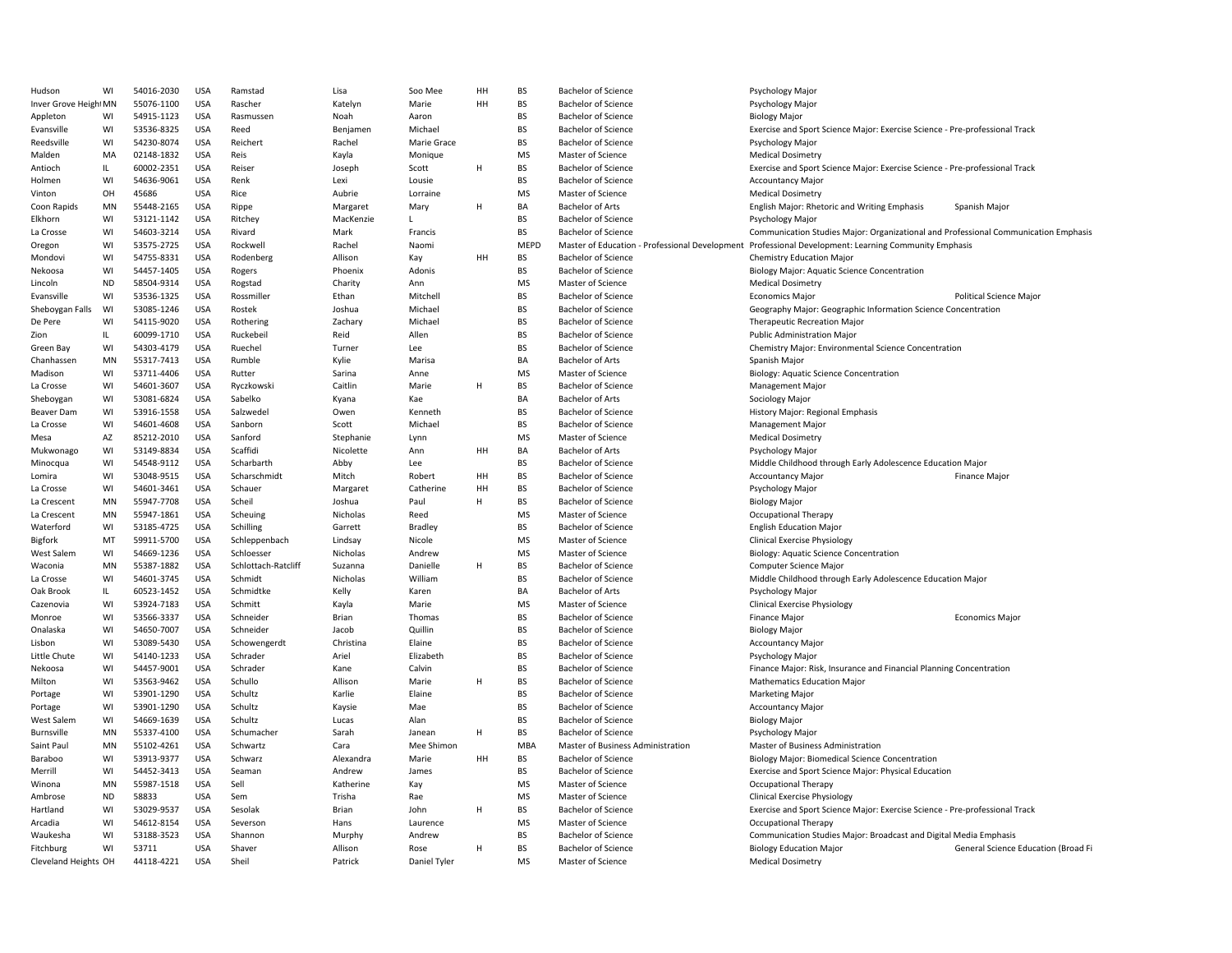| Hudson               | WI        | 54016-2030 | <b>USA</b> | Ramstad             | Lisa         | Soo Mee      | HH | <b>BS</b> | <b>Bachelor of Science</b>        | Psychology Major                                                                                     |
|----------------------|-----------|------------|------------|---------------------|--------------|--------------|----|-----------|-----------------------------------|------------------------------------------------------------------------------------------------------|
| Inver Grove HeightMN |           | 55076-1100 | <b>USA</b> | Rascher             | Katelyn      | Marie        | HH | <b>BS</b> | <b>Bachelor of Science</b>        | Psychology Major                                                                                     |
| Appleton             | WI        | 54915-1123 | <b>USA</b> | Rasmussen           | Noah         | Aaron        |    | <b>BS</b> | <b>Bachelor of Science</b>        | <b>Biology Major</b>                                                                                 |
| Evansville           | WI        | 53536-8325 | <b>USA</b> | Reed                | Benjamen     | Michael      |    | BS        | <b>Bachelor of Science</b>        | Exercise and Sport Science Major: Exercise Science - Pre-professional Track                          |
| Reedsville           | WI        | 54230-8074 | <b>USA</b> | Reichert            | Rachel       | Marie Grace  |    | <b>BS</b> | <b>Bachelor of Science</b>        | Psychology Major                                                                                     |
| Malden               | MA        | 02148-1832 | <b>USA</b> | Reis                | Kayla        | Monique      |    | <b>MS</b> | Master of Science                 | <b>Medical Dosimetry</b>                                                                             |
| Antioch              | IL.       | 60002-2351 | <b>USA</b> | Reiser              | Joseph       | Scott        | H  | <b>BS</b> | <b>Bachelor of Science</b>        | Exercise and Sport Science Major: Exercise Science - Pre-professional Track                          |
| Holmen               | WI        | 54636-9061 | <b>USA</b> | Renk                | Lexi         | Lousie       |    | <b>BS</b> | <b>Bachelor of Science</b>        | <b>Accountancy Major</b>                                                                             |
| Vinton               | OH        | 45686      | <b>USA</b> | Rice                | Aubrie       | Lorraine     |    | MS        | Master of Science                 | <b>Medical Dosimetry</b>                                                                             |
| Coon Rapids          | MN        | 55448-2165 | <b>USA</b> | Rippe               | Margaret     | Mary         | н  | BA        | <b>Bachelor of Arts</b>           | English Major: Rhetoric and Writing Emphasis<br>Spanish Major                                        |
| Elkhorn              | WI        | 53121-1142 | <b>USA</b> | Ritchey             | MacKenzie    | L            |    | BS        | <b>Bachelor of Science</b>        | Psychology Major                                                                                     |
| La Crosse            | WI        | 54603-3214 | <b>USA</b> | Rivard              | Mark         | Francis      |    | <b>BS</b> | <b>Bachelor of Science</b>        | Communication Studies Major: Organizational and Professional Communication Emphasis                  |
| Oregon               | WI        | 53575-2725 | <b>USA</b> | Rockwell            | Rachel       | Naomi        |    | MEPD      |                                   | Master of Education - Professional Development Professional Development: Learning Community Emphasis |
| Mondovi              | WI        | 54755-8331 | <b>USA</b> | Rodenberg           | Allison      | Kay          | HH | BS        | <b>Bachelor of Science</b>        | Chemistry Education Major                                                                            |
| Nekoosa              | WI        | 54457-1405 | <b>USA</b> | Rogers              | Phoenix      | Adonis       |    | BS        | <b>Bachelor of Science</b>        | Biology Major: Aquatic Science Concentration                                                         |
| Lincoln              | <b>ND</b> | 58504-9314 | <b>USA</b> |                     |              | Ann          |    | <b>MS</b> | Master of Science                 | <b>Medical Dosimetry</b>                                                                             |
|                      | WI        |            | <b>USA</b> | Rogstad             | Charity      | Mitchell     |    | <b>BS</b> |                                   | <b>Political Science Major</b>                                                                       |
| Evansville           |           | 53536-1325 |            | Rossmiller          | Ethan        |              |    | <b>BS</b> | <b>Bachelor of Science</b>        | <b>Economics Major</b>                                                                               |
| Sheboygan Falls      | WI        | 53085-1246 | <b>USA</b> | Rostek              | Joshua       | Michael      |    |           | <b>Bachelor of Science</b>        | Geography Major: Geographic Information Science Concentration                                        |
| De Pere              | WI        | 54115-9020 | <b>USA</b> | Rothering           | Zachary      | Michael      |    | <b>BS</b> | <b>Bachelor of Science</b>        | <b>Therapeutic Recreation Major</b>                                                                  |
| Zion                 | IL.       | 60099-1710 | <b>USA</b> | Ruckebeil           | Reid         | Allen        |    | <b>BS</b> | <b>Bachelor of Science</b>        | <b>Public Administration Major</b>                                                                   |
| Green Bay            | WI        | 54303-4179 | <b>USA</b> | Ruechel             | Turner       | Lee          |    | <b>BS</b> | <b>Bachelor of Science</b>        | Chemistry Major: Environmental Science Concentration                                                 |
| Chanhassen           | MN        | 55317-7413 | <b>USA</b> | Rumble              | Kylie        | Marisa       |    | BA        | <b>Bachelor of Arts</b>           | Spanish Major                                                                                        |
| Madison              | WI        | 53711-4406 | <b>USA</b> | Rutter              | Sarina       | Anne         |    | MS        | Master of Science                 | Biology: Aquatic Science Concentration                                                               |
| La Crosse            | WI        | 54601-3607 | <b>USA</b> | Ryczkowski          | Caitlin      | Marie        | H  | BS        | <b>Bachelor of Science</b>        | <b>Management Major</b>                                                                              |
| Sheboygan            | WI        | 53081-6824 | <b>USA</b> | Sabelko             | Kyana        | Kae          |    | BA        | <b>Bachelor of Arts</b>           | Sociology Major                                                                                      |
| Beaver Dam           | WI        | 53916-1558 | <b>USA</b> | Salzwedel           | Owen         | Kenneth      |    | <b>BS</b> | <b>Bachelor of Science</b>        | History Major: Regional Emphasis                                                                     |
| La Crosse            | WI        | 54601-4608 | <b>USA</b> | Sanborn             | Scott        | Michael      |    | <b>BS</b> | <b>Bachelor of Science</b>        | <b>Management Major</b>                                                                              |
| Mesa                 | AZ        | 85212-2010 | <b>USA</b> | Sanford             | Stephanie    | Lynn         |    | <b>MS</b> | Master of Science                 | <b>Medical Dosimetry</b>                                                                             |
| Mukwonago            | WI        | 53149-8834 | <b>USA</b> | Scaffidi            | Nicolette    | Ann          | HH | BA        | <b>Bachelor of Arts</b>           | Psychology Major                                                                                     |
| Minocqua             | WI        | 54548-9112 | <b>USA</b> | Scharbarth          | Abby         | Lee          |    | <b>BS</b> | <b>Bachelor of Science</b>        | Middle Childhood through Early Adolescence Education Major                                           |
| Lomira               | WI        | 53048-9515 | <b>USA</b> | Scharschmidt        | Mitch        | Robert       | HH | <b>BS</b> | <b>Bachelor of Science</b>        | <b>Accountancy Major</b><br><b>Finance Major</b>                                                     |
| La Crosse            | WI        | 54601-3461 | <b>USA</b> | Schauer             | Margaret     | Catherine    | HH | BS        | <b>Bachelor of Science</b>        | Psychology Major                                                                                     |
| La Crescent          | MN        | 55947-7708 | <b>USA</b> | Scheil              | Joshua       | Paul         | н  | <b>BS</b> | <b>Bachelor of Science</b>        | <b>Biology Major</b>                                                                                 |
| La Crescent          | MN        | 55947-1861 | <b>USA</b> | Scheuing            | Nicholas     | Reed         |    | MS        | Master of Science                 | <b>Occupational Therapy</b>                                                                          |
| Waterford            | WI        | 53185-4725 | <b>USA</b> | Schilling           | Garrett      | Bradley      |    | BS        | <b>Bachelor of Science</b>        | <b>English Education Major</b>                                                                       |
| <b>Bigfork</b>       | MT        | 59911-5700 | <b>USA</b> | Schleppenbach       | Lindsay      | Nicole       |    | MS        | Master of Science                 | <b>Clinical Exercise Physiology</b>                                                                  |
| West Salem           | WI        | 54669-1236 | <b>USA</b> | Schloesser          | Nicholas     | Andrew       |    | <b>MS</b> | Master of Science                 | <b>Biology: Aquatic Science Concentration</b>                                                        |
| Waconia              | MN        | 55387-1882 | <b>USA</b> | Schlottach-Ratcliff | Suzanna      | Danielle     | H  | <b>BS</b> | <b>Bachelor of Science</b>        | Computer Science Major                                                                               |
| La Crosse            | WI        | 54601-3745 | <b>USA</b> | Schmidt             | Nicholas     | William      |    | <b>BS</b> | <b>Bachelor of Science</b>        | Middle Childhood through Early Adolescence Education Major                                           |
| Oak Brook            | IL.       | 60523-1452 | <b>USA</b> | Schmidtke           | Kelly        | Karen        |    | BA        | <b>Bachelor of Arts</b>           | Psychology Major                                                                                     |
| Cazenovia            | WI        | 53924-7183 | <b>USA</b> | Schmitt             | Kayla        | Marie        |    | MS        | Master of Science                 | <b>Clinical Exercise Physiology</b>                                                                  |
| Monroe               | WI        | 53566-3337 | <b>USA</b> | Schneider           | <b>Brian</b> | Thomas       |    | BS        | <b>Bachelor of Science</b>        | Finance Major<br><b>Economics Major</b>                                                              |
| Onalaska             | WI        | 54650-7007 | <b>USA</b> | Schneider           | Jacob        | Quillin      |    | <b>BS</b> | <b>Bachelor of Science</b>        | <b>Biology Major</b>                                                                                 |
| Lisbon               | WI        | 53089-5430 | <b>USA</b> | Schowengerdt        | Christina    | Elaine       |    | <b>BS</b> | <b>Bachelor of Science</b>        | <b>Accountancy Major</b>                                                                             |
| Little Chute         | WI        | 54140-1233 | <b>USA</b> | Schrader            | Ariel        | Elizabeth    |    | BS        | <b>Bachelor of Science</b>        | Psychology Major                                                                                     |
| Nekoosa              | WI        | 54457-9001 | <b>USA</b> | Schrader            | Kane         | Calvin       |    | BS        | <b>Bachelor of Science</b>        | Finance Major: Risk, Insurance and Financial Planning Concentration                                  |
|                      | WI        |            | <b>USA</b> | Schullo             | Allison      |              | H  | <b>BS</b> |                                   |                                                                                                      |
| Milton               |           | 53563-9462 |            |                     |              | Marie        |    |           | <b>Bachelor of Science</b>        | <b>Mathematics Education Major</b>                                                                   |
| Portage              | WI        | 53901-1290 | <b>USA</b> | Schultz             | Karlie       | Elaine       |    | BS        | <b>Bachelor of Science</b>        | <b>Marketing Major</b>                                                                               |
| Portage              | WI        | 53901-1290 | <b>USA</b> | Schultz             | Kaysie       | Mae          |    | <b>BS</b> | <b>Bachelor of Science</b>        | <b>Accountancy Major</b>                                                                             |
| West Salem           | WI        | 54669-1639 | <b>USA</b> | Schultz             | Lucas        | Alan         |    | <b>BS</b> | <b>Bachelor of Science</b>        | <b>Biology Major</b>                                                                                 |
| Burnsville           | MN        | 55337-4100 | <b>USA</b> | Schumacher          | Sarah        | Janean       | н  | <b>BS</b> | <b>Bachelor of Science</b>        | Psychology Major                                                                                     |
| Saint Paul           | MN        | 55102-4261 | <b>USA</b> | Schwartz            | Cara         | Mee Shimon   |    | MBA       | Master of Business Administration | Master of Business Administration                                                                    |
| Baraboo              | WI        | 53913-9377 | <b>USA</b> | Schwarz             | Alexandra    | Marie        | HH | BS        | <b>Bachelor of Science</b>        | <b>Biology Major: Biomedical Science Concentration</b>                                               |
| Merrill              | WI        | 54452-3413 | <b>USA</b> | Seaman              | Andrew       | James        |    | <b>BS</b> | <b>Bachelor of Science</b>        | Exercise and Sport Science Major: Physical Education                                                 |
| Winona               | MN        | 55987-1518 | <b>USA</b> | Sell                | Katherine    | Kay          |    | <b>MS</b> | Master of Science                 | <b>Occupational Therapy</b>                                                                          |
| Ambrose              | ND        | 58833      | USA        | Sem                 | Trisha       | Rae          |    | MS        | Master of Science                 | <b>Clinical Exercise Physiology</b>                                                                  |
| Hartland             | WI        | 53029-9537 | <b>USA</b> | Sesolak             | Brian        | John         | H  | BS        | <b>Bachelor of Science</b>        | Exercise and Sport Science Major: Exercise Science - Pre-professional Track                          |
| Arcadia              | WI        | 54612-8154 | <b>USA</b> | Severson            | Hans         | Laurence     |    | MS        | Master of Science                 | <b>Occupational Therapy</b>                                                                          |
| Waukesha             | WI        | 53188-3523 | <b>USA</b> | Shannon             | Murphy       | Andrew       |    | <b>BS</b> | <b>Bachelor of Science</b>        | Communication Studies Major: Broadcast and Digital Media Emphasis                                    |
| Fitchburg            | WI        | 53711      | <b>USA</b> | Shaver              | Allison      | Rose         | H  | <b>BS</b> | <b>Bachelor of Science</b>        | <b>Biology Education Major</b><br>General Science Education (Broad Fi                                |
| Cleveland Heights OH |           | 44118-4221 | <b>USA</b> | Sheil               | Patrick      | Daniel Tyler |    | MS        | Master of Science                 | <b>Medical Dosimetry</b>                                                                             |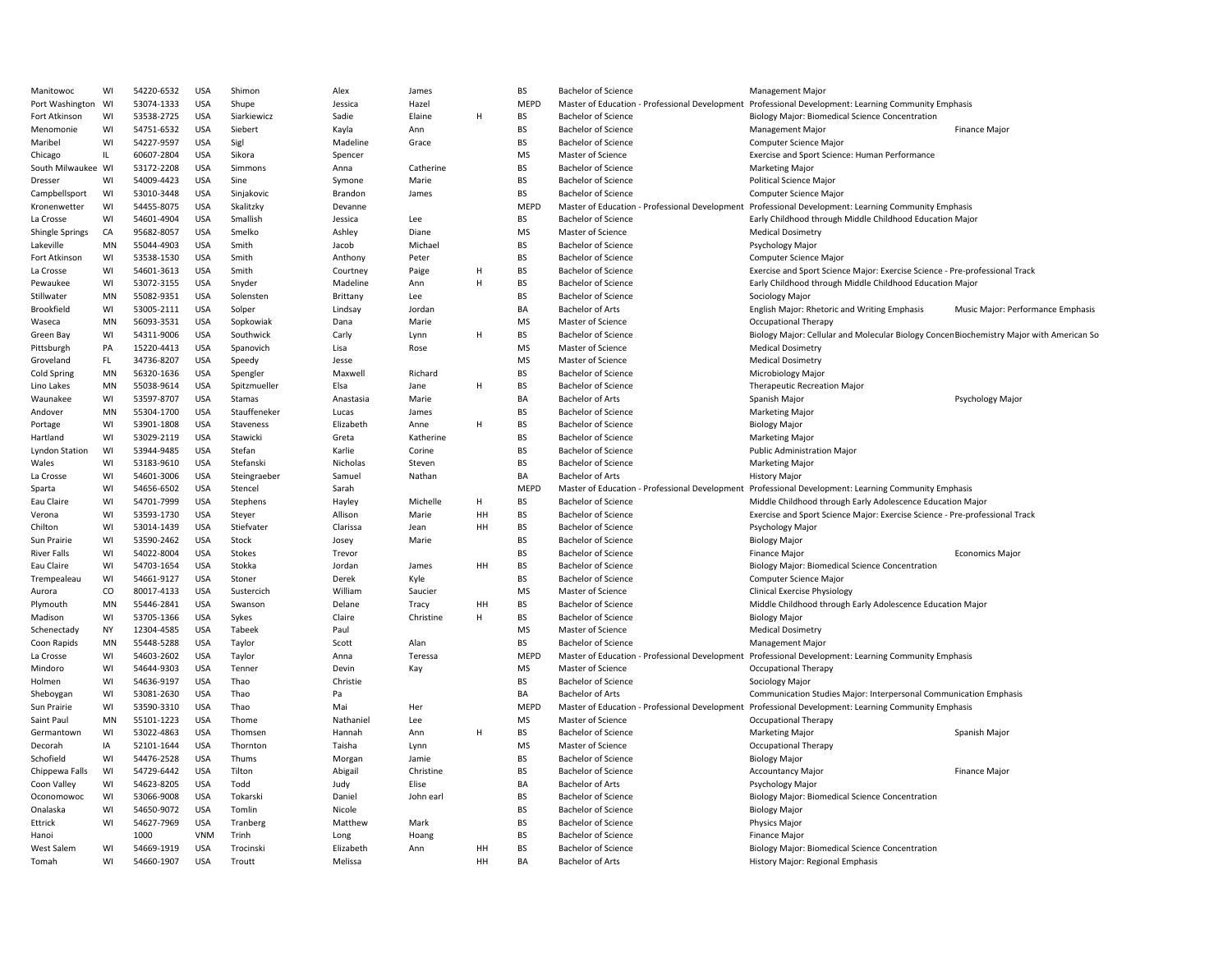| Manitowoc          | WI        | 54220-6532 | <b>USA</b> | Shimon       | Alex      | James     |    | <b>BS</b>   | <b>Bachelor of Science</b>                     | Management Major                                                                                     |                                   |
|--------------------|-----------|------------|------------|--------------|-----------|-----------|----|-------------|------------------------------------------------|------------------------------------------------------------------------------------------------------|-----------------------------------|
| Port Washington    | WI        | 53074-1333 | <b>USA</b> | Shupe        | Jessica   | Hazel     |    | MEPD        | Master of Education - Professional Development | Professional Development: Learning Community Emphasis                                                |                                   |
| Fort Atkinson      | WI        | 53538-2725 | <b>USA</b> | Siarkiewicz  | Sadie     | Elaine    | H  | <b>BS</b>   | <b>Bachelor of Science</b>                     | <b>Biology Major: Biomedical Science Concentration</b>                                               |                                   |
| Menomonie          | WI        | 54751-6532 | <b>USA</b> | Siebert      | Kayla     | Ann       |    | <b>BS</b>   | <b>Bachelor of Science</b>                     | <b>Management Major</b>                                                                              | Finance Major                     |
| Maribel            | WI        | 54227-9597 | <b>USA</b> | Sigl         | Madeline  | Grace     |    | BS          | <b>Bachelor of Science</b>                     | Computer Science Major                                                                               |                                   |
| Chicago            | IL        | 60607-2804 | <b>USA</b> | Sikora       | Spencer   |           |    | MS          | Master of Science                              | Exercise and Sport Science: Human Performance                                                        |                                   |
| South Milwaukee WI |           | 53172-2208 | <b>USA</b> | Simmons      | Anna      | Catherine |    | <b>BS</b>   | <b>Bachelor of Science</b>                     | <b>Marketing Major</b>                                                                               |                                   |
| Dresser            | WI        | 54009-4423 | <b>USA</b> | Sine         | Symone    | Marie     |    | <b>BS</b>   | <b>Bachelor of Science</b>                     | <b>Political Science Major</b>                                                                       |                                   |
| Campbellsport      | WI        | 53010-3448 | USA        | Sinjakovic   | Brandon   | James     |    | <b>BS</b>   | <b>Bachelor of Science</b>                     | <b>Computer Science Major</b>                                                                        |                                   |
| Kronenwetter       | WI        | 54455-8075 | <b>USA</b> | Skalitzky    | Devanne   |           |    | <b>MEPD</b> |                                                | Master of Education - Professional Development Professional Development: Learning Community Emphasis |                                   |
| La Crosse          | WI        | 54601-4904 | <b>USA</b> | Smallish     | Jessica   | Lee       |    | <b>BS</b>   | <b>Bachelor of Science</b>                     | Early Childhood through Middle Childhood Education Major                                             |                                   |
| Shingle Springs    | CA        | 95682-8057 | <b>USA</b> | Smelko       | Ashley    | Diane     |    | <b>MS</b>   | Master of Science                              | <b>Medical Dosimetry</b>                                                                             |                                   |
| Lakeville          | MN        | 55044-4903 | <b>USA</b> | Smith        | Jacob     | Michael   |    | BS          | <b>Bachelor of Science</b>                     | Psychology Major                                                                                     |                                   |
| Fort Atkinson      | WI        | 53538-1530 | <b>USA</b> | Smith        | Anthony   | Peter     |    | BS          | <b>Bachelor of Science</b>                     | <b>Computer Science Major</b>                                                                        |                                   |
| La Crosse          | WI        | 54601-3613 | <b>USA</b> | Smith        | Courtney  | Paige     | H  | <b>BS</b>   | <b>Bachelor of Science</b>                     | Exercise and Sport Science Major: Exercise Science - Pre-professional Track                          |                                   |
| Pewaukee           | WI        | 53072-3155 | <b>USA</b> | Snyder       | Madeline  | Ann       | H  | <b>BS</b>   | <b>Bachelor of Science</b>                     | Early Childhood through Middle Childhood Education Major                                             |                                   |
| Stillwater         | MN        | 55082-9351 | <b>USA</b> | Solensten    | Brittany  | Lee       |    | <b>BS</b>   | <b>Bachelor of Science</b>                     | Sociology Major                                                                                      |                                   |
|                    |           |            |            |              |           |           |    |             |                                                |                                                                                                      |                                   |
| <b>Brookfield</b>  | WI        | 53005-2111 | USA        | Solper       | Lindsay   | Jordan    |    | BA          | <b>Bachelor of Arts</b>                        | English Major: Rhetoric and Writing Emphasis                                                         | Music Major: Performance Emphasis |
| Waseca             | MN        | 56093-3531 | <b>USA</b> | Sopkowiak    | Dana      | Marie     |    | MS          | Master of Science                              | <b>Occupational Therapy</b>                                                                          |                                   |
| Green Bay          | WI        | 54311-9006 | <b>USA</b> | Southwick    | Carly     | Lynn      | H  | <b>BS</b>   | <b>Bachelor of Science</b>                     | Biology Major: Cellular and Molecular Biology Concen Biochemistry Major with American So             |                                   |
| Pittsburgh         | PA        | 15220-4413 | <b>USA</b> | Spanovich    | Lisa      | Rose      |    | <b>MS</b>   | Master of Science                              | <b>Medical Dosimetry</b>                                                                             |                                   |
| Groveland          | FL.       | 34736-8207 | <b>USA</b> | Speedy       | Jesse     |           |    | MS          | Master of Science                              | <b>Medical Dosimetry</b>                                                                             |                                   |
| Cold Spring        | MN        | 56320-1636 | <b>USA</b> | Spengler     | Maxwell   | Richard   |    | BS          | <b>Bachelor of Science</b>                     | Microbiology Major                                                                                   |                                   |
| Lino Lakes         | MN        | 55038-9614 | <b>USA</b> | Spitzmueller | Elsa      | Jane      | H  | <b>BS</b>   | <b>Bachelor of Science</b>                     | <b>Therapeutic Recreation Major</b>                                                                  |                                   |
| Waunakee           | WI        | 53597-8707 | <b>USA</b> | Stamas       | Anastasia | Marie     |    | <b>BA</b>   | <b>Bachelor of Arts</b>                        | Spanish Major                                                                                        | Psychology Major                  |
| Andover            | MN        | 55304-1700 | <b>USA</b> | Stauffeneker | Lucas     | James     |    | <b>BS</b>   | <b>Bachelor of Science</b>                     | <b>Marketing Major</b>                                                                               |                                   |
| Portage            | WI        | 53901-1808 | USA        | Staveness    | Elizabeth | Anne      | H  | <b>BS</b>   | <b>Bachelor of Science</b>                     | <b>Biology Major</b>                                                                                 |                                   |
| Hartland           | WI        | 53029-2119 | <b>USA</b> | Stawicki     | Greta     | Katherine |    | BS          | <b>Bachelor of Science</b>                     | Marketing Major                                                                                      |                                   |
| Lyndon Station     | WI        | 53944-9485 | <b>USA</b> | Stefan       | Karlie    | Corine    |    | <b>BS</b>   | <b>Bachelor of Science</b>                     | <b>Public Administration Major</b>                                                                   |                                   |
| Wales              | WI        | 53183-9610 | <b>USA</b> | Stefanski    | Nicholas  | Steven    |    | BS          | <b>Bachelor of Science</b>                     | Marketing Major                                                                                      |                                   |
| La Crosse          | WI        | 54601-3006 | <b>USA</b> | Steingraeber | Samuel    | Nathan    |    | BA          | <b>Bachelor of Arts</b>                        | <b>History Major</b>                                                                                 |                                   |
| Sparta             | WI        | 54656-6502 | <b>USA</b> | Stencel      | Sarah     |           |    | <b>MEPD</b> |                                                | Master of Education - Professional Development Professional Development: Learning Community Emphasis |                                   |
| Eau Claire         | WI        | 54701-7999 | <b>USA</b> | Stephens     | Hayley    | Michelle  | H  | <b>BS</b>   | <b>Bachelor of Science</b>                     | Middle Childhood through Early Adolescence Education Major                                           |                                   |
| Verona             | WI        | 53593-1730 | <b>USA</b> | Steyer       | Allison   | Marie     | HH | <b>BS</b>   | <b>Bachelor of Science</b>                     | Exercise and Sport Science Major: Exercise Science - Pre-professional Track                          |                                   |
| Chilton            | WI        | 53014-1439 | <b>USA</b> | Stiefvater   | Clarissa  | Jean      | HH | <b>BS</b>   | <b>Bachelor of Science</b>                     | Psychology Major                                                                                     |                                   |
| Sun Prairie        | WI        | 53590-2462 | USA        | Stock        | Josey     | Marie     |    | <b>BS</b>   | <b>Bachelor of Science</b>                     | <b>Biology Major</b>                                                                                 |                                   |
| River Falls        | WI        | 54022-8004 | <b>USA</b> | Stokes       | Trevor    |           |    | BS          | <b>Bachelor of Science</b>                     | Finance Major                                                                                        | <b>Economics Major</b>            |
| Eau Claire         | WI        | 54703-1654 | <b>USA</b> | Stokka       | Jordan    | James     | HH | <b>BS</b>   | <b>Bachelor of Science</b>                     | Biology Major: Biomedical Science Concentration                                                      |                                   |
| Trempealeau        | WI        | 54661-9127 | <b>USA</b> | Stoner       | Derek     | Kyle      |    | BS          | <b>Bachelor of Science</b>                     | Computer Science Major                                                                               |                                   |
| Aurora             | CO        | 80017-4133 | <b>USA</b> | Sustercich   | William   | Saucier   |    | MS          | Master of Science                              | <b>Clinical Exercise Physiology</b>                                                                  |                                   |
| Plymouth           | MN        | 55446-2841 | <b>USA</b> | Swanson      | Delane    | Tracy     | HH | BS          | <b>Bachelor of Science</b>                     | Middle Childhood through Early Adolescence Education Major                                           |                                   |
| Madison            | WI        | 53705-1366 | <b>USA</b> | Sykes        | Claire    | Christine | H  | BS          | <b>Bachelor of Science</b>                     | <b>Biology Major</b>                                                                                 |                                   |
| Schenectady        | <b>NY</b> | 12304-4585 | <b>USA</b> | Tabeek       | Paul      |           |    | <b>MS</b>   | Master of Science                              | <b>Medical Dosimetry</b>                                                                             |                                   |
| Coon Rapids        | MN        | 55448-5288 | <b>USA</b> | Taylor       | Scott     | Alan      |    | <b>BS</b>   | <b>Bachelor of Science</b>                     | <b>Management Major</b>                                                                              |                                   |
| La Crosse          | WI        | 54603-2602 | USA        | Taylor       | Anna      | Teressa   |    | <b>MEPD</b> |                                                | Master of Education - Professional Development Professional Development: Learning Community Emphasis |                                   |
|                    |           |            |            |              |           |           |    |             |                                                |                                                                                                      |                                   |
| Mindoro            | WI        | 54644-9303 | <b>USA</b> | Tenner       | Devin     | Kay       |    | MS          | Master of Science                              | <b>Occupational Therapy</b>                                                                          |                                   |
| Holmen             | WI        | 54636-9197 | <b>USA</b> | Thao         | Christie  |           |    | <b>BS</b>   | <b>Bachelor of Science</b>                     | Sociology Major                                                                                      |                                   |
| Sheboygan          | WI        | 53081-2630 | <b>USA</b> | Thao         | Pa        |           |    | BA          | <b>Bachelor of Arts</b>                        | Communication Studies Major: Interpersonal Communication Emphasis                                    |                                   |
| Sun Prairie        | WI        | 53590-3310 | <b>USA</b> | Thao         | Mai       | Her       |    | <b>MEPD</b> | Master of Education - Professional Development | Professional Development: Learning Community Emphasis                                                |                                   |
| Saint Paul         | MN        | 55101-1223 | <b>USA</b> | Thome        | Nathaniel | Lee       |    | <b>MS</b>   | Master of Science                              | <b>Occupational Therapy</b>                                                                          |                                   |
| Germantown         | WI        | 53022-4863 | <b>USA</b> | Thomsen      | Hannah    | Ann       | н  | BS          | <b>Bachelor of Science</b>                     | <b>Marketing Major</b>                                                                               | Spanish Major                     |
| Decorah            | IA        | 52101-1644 | <b>USA</b> | Thornton     | Taisha    | Lynn      |    | <b>MS</b>   | Master of Science                              | Occupational Therapy                                                                                 |                                   |
| Schofield          | WI        | 54476-2528 | <b>USA</b> | Thums        | Morgan    | Jamie     |    | <b>BS</b>   | <b>Bachelor of Science</b>                     | <b>Biology Major</b>                                                                                 |                                   |
| Chippewa Falls     | WI        | 54729-6442 | <b>USA</b> | Tilton       | Abigail   | Christine |    | <b>BS</b>   | <b>Bachelor of Science</b>                     | <b>Accountancy Major</b>                                                                             | <b>Finance Major</b>              |
| Coon Valley        | WI        | 54623-8205 | <b>USA</b> | Todd         | Judy      | Elise     |    | BA          | <b>Bachelor of Arts</b>                        | Psychology Major                                                                                     |                                   |
| Oconomowoc         | WI        | 53066-9008 | <b>USA</b> | Tokarski     | Daniel    | John ear  |    | <b>BS</b>   | <b>Bachelor of Science</b>                     | Biology Major: Biomedical Science Concentration                                                      |                                   |
| Onalaska           | WI        | 54650-9072 | <b>USA</b> | Tomlin       | Nicole    |           |    | BS          | <b>Bachelor of Science</b>                     | <b>Biology Major</b>                                                                                 |                                   |
| Ettrick            | WI        | 54627-7969 | <b>USA</b> | Tranberg     | Matthew   | Mark      |    | BS          | <b>Bachelor of Science</b>                     | <b>Physics Major</b>                                                                                 |                                   |
| Hanoi              |           | 1000       | <b>VNM</b> | Trinh        | Long      | Hoang     |    | BS          | <b>Bachelor of Science</b>                     | <b>Finance Major</b>                                                                                 |                                   |
| West Salem         | WI        | 54669-1919 | <b>USA</b> | Trocinski    | Elizabeth | Ann       | HH | <b>BS</b>   | <b>Bachelor of Science</b>                     | Biology Major: Biomedical Science Concentration                                                      |                                   |
| Tomah              | WI        | 54660-1907 | <b>USA</b> | Troutt       | Melissa   |           | HH | <b>BA</b>   | <b>Bachelor of Arts</b>                        | History Major: Regional Emphasis                                                                     |                                   |
|                    |           |            |            |              |           |           |    |             |                                                |                                                                                                      |                                   |